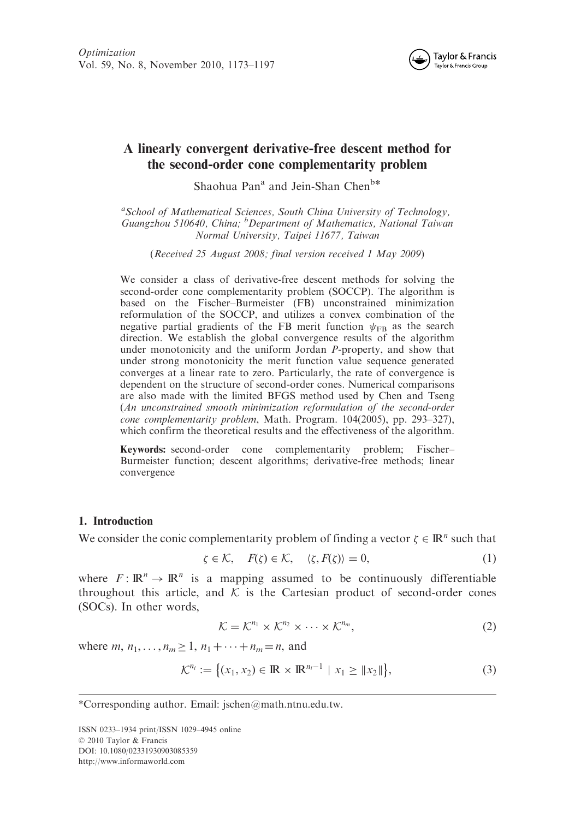

# A linearly convergent derivative-free descent method for the second-order cone complementarity problem

Shaohua Pan<sup>a</sup> and Jein-Shan Chen<sup>b\*</sup>

<sup>a</sup>School of Mathematical Sciences, South China University of Technology, Guangzhou 510640, China; <sup>b</sup>Department of Mathematics, National Taiwan Normal University, Taipei 11677, Taiwan

(Received 25 August 2008; final version received 1 May 2009)

We consider a class of derivative-free descent methods for solving the second-order cone complementarity problem (SOCCP). The algorithm is based on the Fischer–Burmeister (FB) unconstrained minimization reformulation of the SOCCP, and utilizes a convex combination of the negative partial gradients of the FB merit function  $\psi_{\text{FB}}$  as the search direction. We establish the global convergence results of the algorithm under monotonicity and the uniform Jordan P-property, and show that under strong monotonicity the merit function value sequence generated converges at a linear rate to zero. Particularly, the rate of convergence is dependent on the structure of second-order cones. Numerical comparisons are also made with the limited BFGS method used by Chen and Tseng (An unconstrained smooth minimization reformulation of the second-order cone complementarity problem, Math. Program. 104(2005), pp. 293–327), which confirm the theoretical results and the effectiveness of the algorithm.

Keywords: second-order cone complementarity problem; Fischer– Burmeister function; descent algorithms; derivative-free methods; linear convergence

### 1. Introduction

We consider the conic complementarity problem of finding a vector  $\zeta \in \mathbb{R}^n$  such that

$$
\zeta \in \mathcal{K}, \quad F(\zeta) \in \mathcal{K}, \quad \langle \zeta, F(\zeta) \rangle = 0,\tag{1}
$$

where  $F: \mathbb{R}^n \to \mathbb{R}^n$  is a mapping assumed to be continuously differentiable throughout this article, and  $K$  is the Cartesian product of second-order cones (SOCs). In other words,

$$
\mathcal{K} = \mathcal{K}^{n_1} \times \mathcal{K}^{n_2} \times \cdots \times \mathcal{K}^{n_m},\tag{2}
$$

where *m*,  $n_1, ..., n_m \ge 1, n_1 + ... + n_m = n$ , and

$$
\mathcal{K}^{n_i} := \{ (x_1, x_2) \in \mathbb{R} \times \mathbb{R}^{n_i - 1} \mid x_1 \geq ||x_2|| \},\tag{3}
$$

ISSN 0233–1934 print/ISSN 1029–4945 online © 2010 Taylor & Francis DOI: 10.1080/02331930903085359 http://www.informaworld.com

<sup>\*</sup>Corresponding author. Email: jschen@math.ntnu.edu.tw.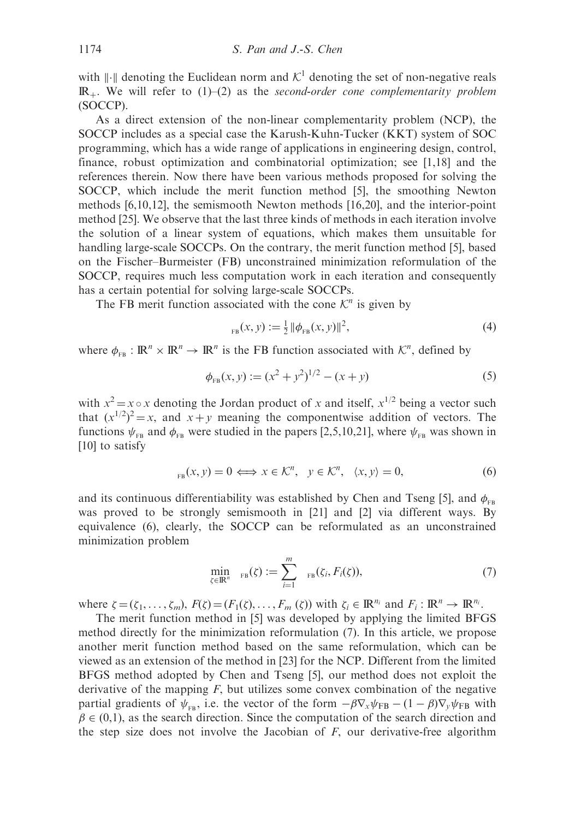with  $\Vert \cdot \Vert$  denoting the Euclidean norm and  $\mathcal{K}^1$  denoting the set of non-negative reals  $\mathbb{R}_+$ . We will refer to (1)–(2) as the second-order cone complementarity problem (SOCCP).

As a direct extension of the non-linear complementarity problem (NCP), the SOCCP includes as a special case the Karush-Kuhn-Tucker (KKT) system of SOC programming, which has a wide range of applications in engineering design, control, finance, robust optimization and combinatorial optimization; see [1,18] and the references therein. Now there have been various methods proposed for solving the SOCCP, which include the merit function method [5], the smoothing Newton methods [6,10,12], the semismooth Newton methods [16,20], and the interior-point method [25]. We observe that the last three kinds of methods in each iteration involve the solution of a linear system of equations, which makes them unsuitable for handling large-scale SOCCPs. On the contrary, the merit function method [5], based on the Fischer–Burmeister (FB) unconstrained minimization reformulation of the SOCCP, requires much less computation work in each iteration and consequently has a certain potential for solving large-scale SOCCPs.

The FB merit function associated with the cone  $K<sup>n</sup>$  is given by

$$
E_{\text{FB}}(x, y) := \frac{1}{2} \|\phi_{\text{FB}}(x, y)\|^2, \tag{4}
$$

where  $\phi_{FB} : \mathbb{R}^n \times \mathbb{R}^n \to \mathbb{R}^n$  is the FB function associated with  $\mathcal{K}^n$ , defined by

$$
\phi_{FB}(x, y) := (x^2 + y^2)^{1/2} - (x + y)
$$
\n(5)

with  $x^2 = x \circ x$  denoting the Jordan product of x and itself,  $x^{1/2}$  being a vector such that  $(x^{1/2})^2 = x$ , and  $x + y$  meaning the componentwise addition of vectors. The functions  $\psi_{FB}$  and  $\phi_{FB}$  were studied in the papers [2,5,10,21], where  $\psi_{FB}$  was shown in [10] to satisfy

$$
E_{FB}(x, y) = 0 \iff x \in \mathcal{K}^n, \quad y \in \mathcal{K}^n, \quad \langle x, y \rangle = 0,\tag{6}
$$

and its continuous differentiability was established by Chen and Tseng [5], and  $\phi_{FB}$ was proved to be strongly semismooth in [21] and [2] via different ways. By equivalence (6), clearly, the SOCCP can be reformulated as an unconstrained minimization problem

$$
\min_{\zeta \in \mathbb{R}^n} \quad \min_{\mathbf{F} \mathbf{B}}(\zeta) := \sum_{i=1}^m \quad \min_{\mathbf{F} \mathbf{B}}(\zeta_i, F_i(\zeta)), \tag{7}
$$

where  $\zeta = (\zeta_1, \ldots, \zeta_m)$ ,  $F(\zeta) = (F_1(\zeta), \ldots, F_m(\zeta))$  with  $\zeta_i \in \mathbb{R}^{n_i}$  and  $F_i : \mathbb{R}^n \to \mathbb{R}^{n_i}$ .

The merit function method in [5] was developed by applying the limited BFGS method directly for the minimization reformulation (7). In this article, we propose another merit function method based on the same reformulation, which can be viewed as an extension of the method in [23] for the NCP. Different from the limited BFGS method adopted by Chen and Tseng [5], our method does not exploit the derivative of the mapping  $F$ , but utilizes some convex combination of the negative partial gradients of  $\psi_{FB}$ , i.e. the vector of the form  $-\beta \nabla_x \psi_{FB} - (1 - \beta) \nabla_y \psi_{FB}$  with  $\beta \in (0,1)$ , as the search direction. Since the computation of the search direction and the step size does not involve the Jacobian of  $F$ , our derivative-free algorithm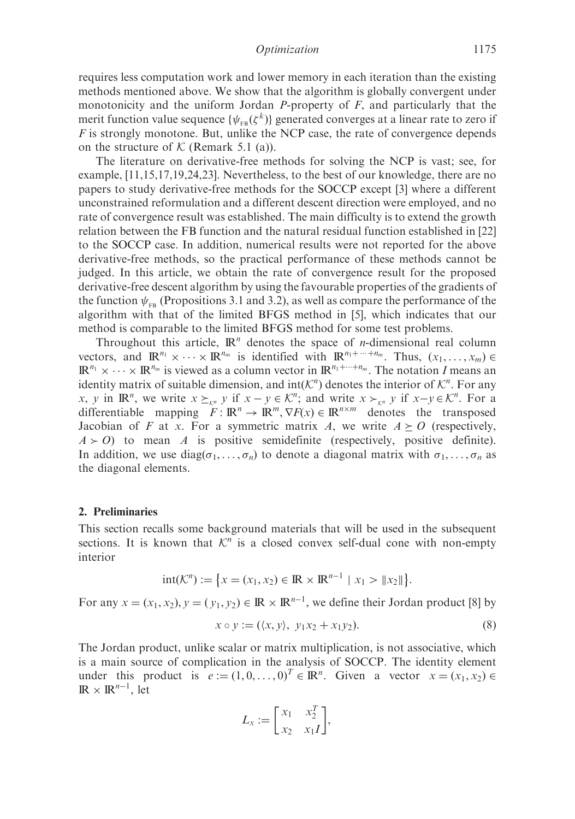requires less computation work and lower memory in each iteration than the existing methods mentioned above. We show that the algorithm is globally convergent under monotonicity and the uniform Jordan P-property of  $F$ , and particularly that the merit function value sequence  $\{\psi_{\text{\tiny FB}}(\zeta^k)\}$  generated converges at a linear rate to zero if  $F$  is strongly monotone. But, unlike the NCP case, the rate of convergence depends on the structure of  $K$  (Remark 5.1 (a)).

The literature on derivative-free methods for solving the NCP is vast; see, for example, [11,15,17,19,24,23]. Nevertheless, to the best of our knowledge, there are no papers to study derivative-free methods for the SOCCP except [3] where a different unconstrained reformulation and a different descent direction were employed, and no rate of convergence result was established. The main difficulty is to extend the growth relation between the FB function and the natural residual function established in [22] to the SOCCP case. In addition, numerical results were not reported for the above derivative-free methods, so the practical performance of these methods cannot be judged. In this article, we obtain the rate of convergence result for the proposed derivative-free descent algorithm by using the favourable properties of the gradients of the function  $\psi_{\text{en}}$  (Propositions 3.1 and 3.2), as well as compare the performance of the algorithm with that of the limited BFGS method in [5], which indicates that our method is comparable to the limited BFGS method for some test problems.

Throughout this article,  $\mathbb{R}^n$  denotes the space of *n*-dimensional real column vectors, and  $\mathbb{R}^{n_1} \times \cdots \times \mathbb{R}^{n_m}$  is identified with  $\mathbb{R}^{n_1 + \cdots + n_m}$ . Thus,  $(x_1, \ldots, x_m) \in$  $\mathbb{R}^{n_1} \times \cdots \times \mathbb{R}^{n_m}$  is viewed as a column vector in  $\mathbb{R}^{n_1+\cdots+n_m}$ . The notation I means an identity matrix of suitable dimension, and  $int(\mathcal{K}^n)$  denotes the interior of  $\mathcal{K}^n$ . For any x, y in  $\mathbb{R}^n$ , we write  $x \succeq_{\kappa^n} y$  if  $x - y \in \mathcal{K}^n$ ; and write  $x \succ_{\kappa^n} y$  if  $x - y \in \mathcal{K}^n$ . For a differentiable mapping  $F: \mathbb{R}^n \to \mathbb{R}^m$ ,  $\nabla F(x) \in \mathbb{R}^{n \times m}$  denotes the transposed Jacobian of F at x. For a symmetric matrix A, we write  $A \geq O$  (respectively,  $A \succ O$ ) to mean A is positive semidefinite (respectively, positive definite). In addition, we use diag( $\sigma_1, \ldots, \sigma_n$ ) to denote a diagonal matrix with  $\sigma_1, \ldots, \sigma_n$  as the diagonal elements.

### 2. Preliminaries

This section recalls some background materials that will be used in the subsequent sections. It is known that  $K<sup>n</sup>$  is a closed convex self-dual cone with non-empty interior

$$
int(\mathcal{K}^n) := \{ x = (x_1, x_2) \in \mathbb{R} \times \mathbb{R}^{n-1} \mid x_1 > \|x_2\| \}.
$$

For any  $x = (x_1, x_2), y = (y_1, y_2) \in \mathbb{R} \times \mathbb{R}^{n-1}$ , we define their Jordan product [8] by

$$
x \circ y := (\langle x, y \rangle, y_1 x_2 + x_1 y_2). \tag{8}
$$

The Jordan product, unlike scalar or matrix multiplication, is not associative, which is a main source of complication in the analysis of SOCCP. The identity element under this product is  $e := (1, 0, \dots, 0)^T \in \mathbb{R}^n$ . Given a vector  $x = (x_1, x_2) \in$  $\mathbb{R} \times \mathbb{R}^{n-1}$ , let

$$
L_x := \begin{bmatrix} x_1 & x_2^T \\ x_2 & x_1 I \end{bmatrix},
$$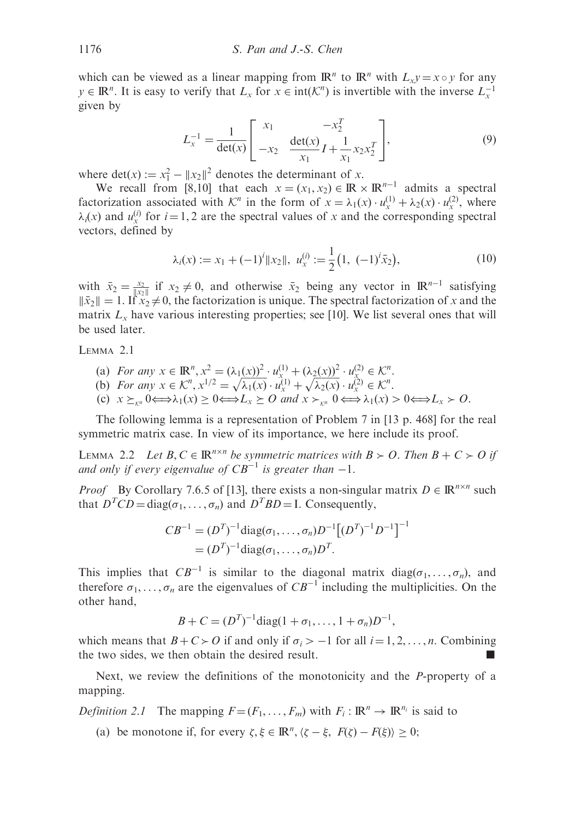which can be viewed as a linear mapping from  $\mathbb{R}^n$  to  $\mathbb{R}^n$  with  $L_x y = x \circ y$  for any  $y \in \mathbb{R}^n$ . It is easy to verify that  $L_x$  for  $x \in \text{int}(\mathcal{K}^n)$  is invertible with the inverse  $L_x^{-1}$ given by

$$
L_x^{-1} = \frac{1}{\det(x)} \begin{bmatrix} x_1 & -x_2^T \\ -x_2 & \frac{\det(x)}{x_1} I + \frac{1}{x_1} x_2 x_2^T \end{bmatrix},
$$
(9)

where det(x) :=  $x_1^2 - ||x_2||^2$  denotes the determinant of x.

We recall from [8,10] that each  $x = (x_1, x_2) \in \mathbb{R} \times \mathbb{R}^{n-1}$  admits a spectral factorization associated with  $\mathcal{K}^n$  in the form of  $x = \lambda_1(x) \cdot u_x^{(1)} + \lambda_2(x) \cdot u_x^{(2)}$ , where  $\lambda_i(x)$  and  $u_x^{(i)}$  for  $i = 1, 2$  are the spectral values of x and the corresponding spectral vectors, defined by

$$
\lambda_i(x) := x_1 + (-1)^i \|x_2\|, \ u_x^{(i)} := \frac{1}{2} (1, \ (-1)^i \bar{x}_2), \tag{10}
$$

with  $\bar{x}_2 = \frac{x_2}{\|x_2\|}$  if  $x_2 \neq 0$ , and otherwise  $\bar{x}_2$  being any vector in  $\mathbb{R}^{n-1}$  satisfying  $\|\bar{x}_2\| = 1$ . If  $\bar{x}_2 \neq 0$ , the factorization is unique. The spectral factorization of x and the matrix  $L<sub>x</sub>$  have various interesting properties; see [10]. We list several ones that will be used later.

LEMMA 2.1

- (a) For any  $x \in \mathbb{R}^n$ ,  $x^2 = (\lambda_1(x))^2 \cdot u_{x_1}^{(1)} + (\lambda_2(x))^2 \cdot u_{x_2}^{(2)} \in \mathcal{K}^n$ .
- (b) For any  $x \in \mathbb{R}^n$ ,  $x' = (x_1(x))^{n-1}x_1^{n-1} + (x_2(x))^{n-1}x_2^{n} \in \mathbb{R}^n$ .<br>
(b) For any  $x \in \mathcal{K}^n$ ,  $x^{1/2} = \sqrt{\lambda_1(x)} \cdot u_x^{(1)} + \sqrt{\lambda_2(x)} \cdot u_x^{(2)} \in \mathcal{K}^n$ .
- (c)  $x \succeq_{\kappa^n} 0 \Longleftrightarrow \lambda_1(x) \geq 0 \Longleftrightarrow L_x \succeq 0$  and  $x \succ_{\kappa^n} 0 \Longleftrightarrow \lambda_1(x) > 0 \Longleftrightarrow L_x \succ 0$ .

The following lemma is a representation of Problem 7 in [13 p. 468] for the real symmetric matrix case. In view of its importance, we here include its proof.

LEMMA 2.2 Let  $B, C \in \mathbb{R}^{n \times n}$  be symmetric matrices with  $B \succ O$ . Then  $B + C \succ O$  if and only if every eigenvalue of  $CB^{-1}$  is greater than  $-1$ .

*Proof* By Corollary 7.6.5 of [13], there exists a non-singular matrix  $D \in \mathbb{R}^{n \times n}$  such that  $D^TCD = diag(\sigma_1, ..., \sigma_n)$  and  $D^TBD = I$ . Consequently,

$$
CB^{-1} = (D^T)^{-1} diag(\sigma_1, ..., \sigma_n) D^{-1} [(D^T)^{-1} D^{-1}]^{-1}
$$
  
=  $(D^T)^{-1} diag(\sigma_1, ..., \sigma_n) D^T$ .

This implies that  $CB^{-1}$  is similar to the diagonal matrix  $diag(\sigma_1, \ldots, \sigma_n)$ , and therefore  $\sigma_1, \ldots, \sigma_n$  are the eigenvalues of  $CB^{-1}$  including the multiplicities. On the other hand,

$$
B + C = (DT)-1 diag(1 + \sigma_1, ..., 1 + \sigma_n)D-1,
$$

which means that  $B + C > 0$  if and only if  $\sigma_i > -1$  for all  $i = 1, 2, ..., n$ . Combining the two sides, we then obtain the desired result.

Next, we review the definitions of the monotonicity and the P-property of a mapping.

*Definition 2.1* The mapping  $F = (F_1, \ldots, F_m)$  with  $F_i : \mathbb{R}^n \to \mathbb{R}^{n_i}$  is said to

(a) be monotone if, for every  $\zeta, \xi \in \mathbb{R}^n, \langle \zeta - \xi, F(\zeta) - F(\xi) \rangle \ge 0;$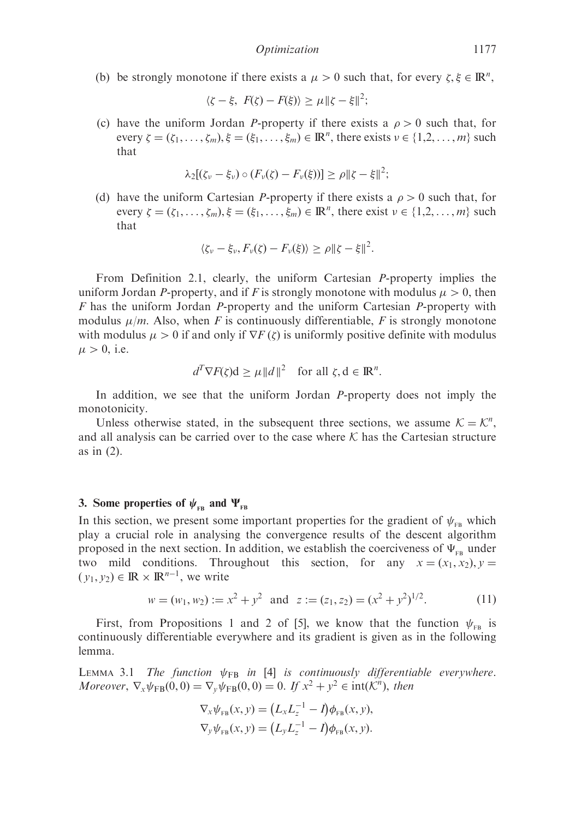(b) be strongly monotone if there exists a  $\mu > 0$  such that, for every  $\zeta, \xi \in \mathbb{R}^n$ ,

$$
\langle \zeta - \xi, F(\zeta) - F(\xi) \rangle \ge \mu \| \zeta - \xi \|^2;
$$

(c) have the uniform Jordan P-property if there exists a  $\rho > 0$  such that, for every  $\zeta = (\zeta_1, \ldots, \zeta_m), \xi = (\xi_1, \ldots, \xi_m) \in \mathbb{R}^n$ , there exists  $\nu \in \{1, 2, \ldots, m\}$  such that

$$
\lambda_2[(\zeta_\nu-\xi_\nu)\circ (F_\nu(\zeta)-F_\nu(\xi))] \ge \rho \|\zeta-\xi\|^2;
$$

(d) have the uniform Cartesian P-property if there exists a  $\rho > 0$  such that, for every  $\zeta = (\zeta_1, \ldots, \zeta_m), \xi = (\xi_1, \ldots, \xi_m) \in \mathbb{R}^n$ , there exist  $\nu \in \{1, 2, \ldots, m\}$  such that

$$
\langle \zeta_{\nu} - \xi_{\nu}, F_{\nu}(\zeta) - F_{\nu}(\xi) \rangle \ge \rho \|\zeta - \xi\|^2.
$$

From Definition 2.1, clearly, the uniform Cartesian P-property implies the uniform Jordan P-property, and if F is strongly monotone with modulus  $\mu > 0$ , then  $F$  has the uniform Jordan P-property and the uniform Cartesian P-property with modulus  $\mu/m$ . Also, when F is continuously differentiable, F is strongly monotone with modulus  $\mu > 0$  if and only if  $\nabla F(\zeta)$  is uniformly positive definite with modulus  $\mu > 0$ , i.e.

$$
d^T \nabla F(\zeta) \mathbf{d} \ge \mu \|d\|^2 \quad \text{for all } \zeta, \mathbf{d} \in \mathbb{R}^n.
$$

In addition, we see that the uniform Jordan P-property does not imply the monotonicity.

Unless otherwise stated, in the subsequent three sections, we assume  $K = \mathcal{K}^n$ , and all analysis can be carried over to the case where  $K$  has the Cartesian structure as in (2).

### 3. Some properties of  $\psi_{FB}$  and  $\Psi_{FB}$

In this section, we present some important properties for the gradient of  $\psi_{FB}$  which play a crucial role in analysing the convergence results of the descent algorithm proposed in the next section. In addition, we establish the coerciveness of  $\Psi_{FB}$  under two mild conditions. Throughout this section, for any  $x = (x_1, x_2), y =$  $(y_1, y_2) \in \mathbb{R} \times \mathbb{R}^{n-1}$ , we write

$$
w = (w_1, w_2) := x^2 + y^2 \text{ and } z := (z_1, z_2) = (x^2 + y^2)^{1/2}.
$$
 (11)

First, from Propositions 1 and 2 of [5], we know that the function  $\psi_{FB}$  is continuously differentiable everywhere and its gradient is given as in the following lemma.

LEMMA 3.1 The function  $\psi_{FB}$  in [4] is continuously differentiable everywhere. Moreover,  $\nabla_x \psi_{FB}(0,0) = \nabla_y \psi_{FB}(0,0) = 0$ . If  $x^2 + y^2 \in \text{int}(\mathcal{K}^n)$ , then

$$
\nabla_{x} \psi_{FB}(x, y) = (L_{x} L_{z}^{-1} - I) \phi_{FB}(x, y),
$$
  

$$
\nabla_{y} \psi_{FB}(x, y) = (L_{y} L_{z}^{-1} - I) \phi_{FB}(x, y).
$$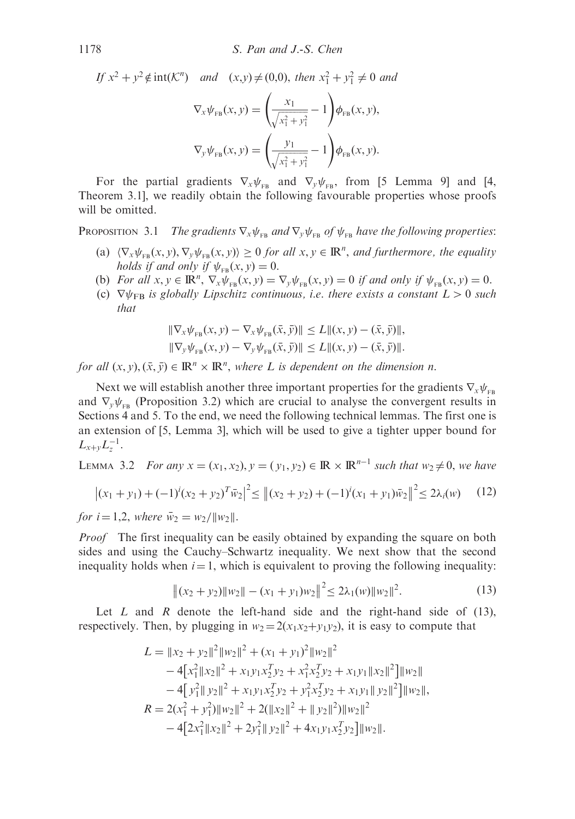If  $x^2 + y^2 \notin \text{int}(\mathcal{K}^n)$  and  $(x, y) \neq (0, 0)$ , then  $x_1^2 + y_1^2 \neq 0$  and

$$
\nabla_{x} \psi_{FB}(x, y) = \left(\frac{x_{1}}{\sqrt{x_{1}^{2} + y_{1}^{2}}} - 1\right) \phi_{FB}(x, y),
$$

$$
\nabla_{y} \psi_{FB}(x, y) = \left(\frac{y_{1}}{\sqrt{x_{1}^{2} + y_{1}^{2}}} - 1\right) \phi_{FB}(x, y).
$$

For the partial gradients  $\nabla_x \psi_{FB}$  and  $\nabla_y \psi_{FB}$ , from [5 Lemma 9] and [4, Theorem 3.1], we readily obtain the following favourable properties whose proofs will be omitted.

PROPOSITION 3.1 The gradients  $\nabla_x \psi_{FB}$  and  $\nabla_y \psi_{FB}$  of  $\psi_{FB}$  have the following properties:

- (a)  $\langle \nabla_x \psi_{FB}(x, y), \nabla_y \psi_{FB}(x, y) \rangle \ge 0$  for all  $x, y \in \mathbb{R}^n$ , and furthermore, the equality holds if and only if  $\psi_{FB}(x, y) = 0$ .
- (b) For all  $x, y \in \mathbb{R}^n$ ,  $\nabla_x \psi_{FB}(x, y) = \nabla_y \psi_{FB}(x, y) = 0$  if and only if  $\psi_{FB}(x, y) = 0$ .
- (c)  $\nabla \psi_{\text{FB}}$  is globally Lipschitz continuous, i.e. there exists a constant  $L>0$  such that

$$
\|\nabla_{x}\psi_{FB}(x, y) - \nabla_{x}\psi_{FB}(\bar{x}, \bar{y})\| \le L\|(x, y) - (\bar{x}, \bar{y})\|,
$$
  

$$
\|\nabla_{y}\psi_{FB}(x, y) - \nabla_{y}\psi_{FB}(\bar{x}, \bar{y})\| \le L\|(x, y) - (\bar{x}, \bar{y})\|.
$$

for all  $(x, y), (\bar{x}, \bar{y}) \in \mathbb{R}^n \times \mathbb{R}^n$ , where L is dependent on the dimension n.

Next we will establish another three important properties for the gradients  $\nabla_x \psi_{FB}$ and  $\nabla_{\nu} \psi_{FB}$  (Proposition 3.2) which are crucial to analyse the convergent results in Sections 4 and 5. To the end, we need the following technical lemmas. The first one is an extension of [5, Lemma 3], which will be used to give a tighter upper bound for  $L_{x+y}L_z^{-1}$ .

LEMMA 3.2 For any  $x = (x_1, x_2), y = (y_1, y_2) \in \mathbb{R} \times \mathbb{R}^{n-1}$  such that  $w_2 \neq 0$ , we have

$$
\left| (x_1 + y_1) + (-1)^i (x_2 + y_2)^T \bar{w}_2 \right|^2 \leq \left| (x_2 + y_2) + (-1)^i (x_1 + y_1) \bar{w}_2 \right|^2 \leq 2\lambda_i(w) \tag{12}
$$

for  $i = 1, 2$ , where  $\bar{w}_2 = w_2 / ||w_2||$ .

*Proof* The first inequality can be easily obtained by expanding the square on both sides and using the Cauchy–Schwartz inequality. We next show that the second inequality holds when  $i = 1$ , which is equivalent to proving the following inequality:

$$
\|(x_2 + y_2)\|w_2\| - (x_1 + y_1)w_2\|^2 \le 2\lambda_1(w)\|w_2\|^2. \tag{13}
$$

Let  $L$  and  $R$  denote the left-hand side and the right-hand side of (13), respectively. Then, by plugging in  $w_2 = 2(x_1x_2+y_1y_2)$ , it is easy to compute that

$$
L = \|x_2 + y_2\|^2 \|w_2\|^2 + (x_1 + y_1)^2 \|w_2\|^2
$$
  
\n
$$
- 4[x_1^2 \|x_2\|^2 + x_1 y_1 x_2^T y_2 + x_1^2 x_2^T y_2 + x_1 y_1 \|x_2\|^2] \|w_2\|
$$
  
\n
$$
- 4[y_1^2 \|y_2\|^2 + x_1 y_1 x_2^T y_2 + y_1^2 x_2^T y_2 + x_1 y_1 \|y_2\|^2] \|w_2\|,
$$
  
\n
$$
R = 2(x_1^2 + y_1^2) \|w_2\|^2 + 2(\|x_2\|^2 + \|y_2\|^2) \|w_2\|^2
$$
  
\n
$$
- 4[2x_1^2 \|x_2\|^2 + 2y_1^2 \|y_2\|^2 + 4x_1 y_1 x_2^T y_2] \|w_2\|.
$$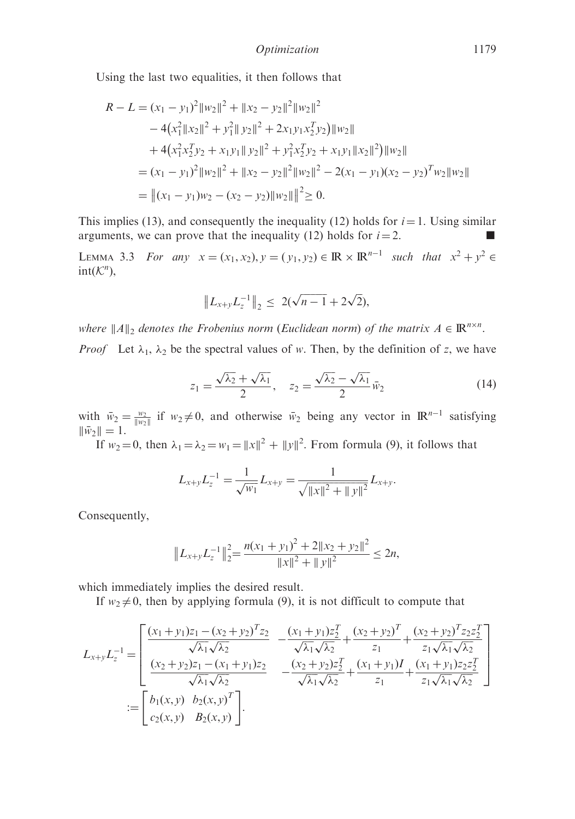Using the last two equalities, it then follows that

$$
R - L = (x_1 - y_1)^2 ||w_2||^2 + ||x_2 - y_2||^2 ||w_2||^2
$$
  
\n
$$
- 4(x_1^2 ||x_2||^2 + y_1^2 ||y_2||^2 + 2x_1y_1x_2^T y_2) ||w_2||
$$
  
\n
$$
+ 4(x_1^2x_2^T y_2 + x_1y_1 ||y_2||^2 + y_1^2x_2^T y_2 + x_1y_1 ||x_2||^2) ||w_2||
$$
  
\n
$$
= (x_1 - y_1)^2 ||w_2||^2 + ||x_2 - y_2||^2 ||w_2||^2 - 2(x_1 - y_1)(x_2 - y_2)^T w_2 ||w_2||
$$
  
\n
$$
= ||(x_1 - y_1)w_2 - (x_2 - y_2)||w_2||^2 \ge 0.
$$

This implies (13), and consequently the inequality (12) holds for  $i = 1$ . Using similar arguments, we can prove that the inequality (12) holds for  $i = 2$ .

LEMMA 3.3 For any  $x = (x_1, x_2), y = (y_1, y_2) \in \mathbb{R} \times \mathbb{R}^{n-1}$  such that  $x^2 + y^2 \in \mathbb{R}$  $\text{int}(\mathcal{K}^n)$ ,

$$
||L_{x+y}L_z^{-1}||_2 \le 2(\sqrt{n-1} + 2\sqrt{2}),
$$

where  $||A||_2$  denotes the Frobenius norm (Euclidean norm) of the matrix  $A \in \mathbb{R}^{n \times n}$ . *Proof* Let  $\lambda_1$ ,  $\lambda_2$  be the spectral values of w. Then, by the definition of z, we have

$$
z_1 = \frac{\sqrt{\lambda_2} + \sqrt{\lambda_1}}{2}, \quad z_2 = \frac{\sqrt{\lambda_2} - \sqrt{\lambda_1}}{2} \bar{w}_2 \tag{14}
$$

with  $\bar{w}_2 = \frac{w_2}{\|w_2\|}$  if  $w_2 \neq 0$ , and otherwise  $\bar{w}_2$  being any vector in  $\mathbb{R}^{n-1}$  satisfying  $\|\bar{w}_2\| = 1.$ 

If  $w_2 = 0$ , then  $\lambda_1 = \lambda_2 = w_1 = ||x||^2 + ||y||^2$ . From formula (9), it follows that

$$
L_{x+y}L_z^{-1} = \frac{1}{\sqrt{w_1}}L_{x+y} = \frac{1}{\sqrt{\|x\|^2 + \|y\|^2}}L_{x+y}.
$$

Consequently,

$$
||L_{x+y}L_z^{-1}||_2^2 = \frac{n(x_1 + y_1)^2 + 2||x_2 + y_2||^2}{||x||^2 + ||y||^2} \le 2n,
$$

which immediately implies the desired result.

If  $w_2 \neq 0$ , then by applying formula (9), it is not difficult to compute that

$$
L_{x+y}L_z^{-1} = \begin{bmatrix} \frac{(x_1 + y_1)z_1 - (x_2 + y_2)^T z_2}{\sqrt{\lambda_1}\sqrt{\lambda_2}} & -\frac{(x_1 + y_1)z_2^T}{\sqrt{\lambda_1}\sqrt{\lambda_2}} + \frac{(x_2 + y_2)^T}{z_1} + \frac{(x_2 + y_2)^T z_2 z_2^T}{z_1\sqrt{\lambda_1}\sqrt{\lambda_2}}\\ \frac{(x_2 + y_2)z_1 - (x_1 + y_1)z_2}{\sqrt{\lambda_1}\sqrt{\lambda_2}} & -\frac{(x_2 + y_2)z_2^T}{\sqrt{\lambda_1}\sqrt{\lambda_2}} + \frac{(x_1 + y_1)I}{z_1} + \frac{(x_1 + y_1)z_2 z_2^T}{z_1\sqrt{\lambda_1}\sqrt{\lambda_2}}\\ \vdots\\ c_2(x, y) & B_2(x, y) \end{bmatrix}.
$$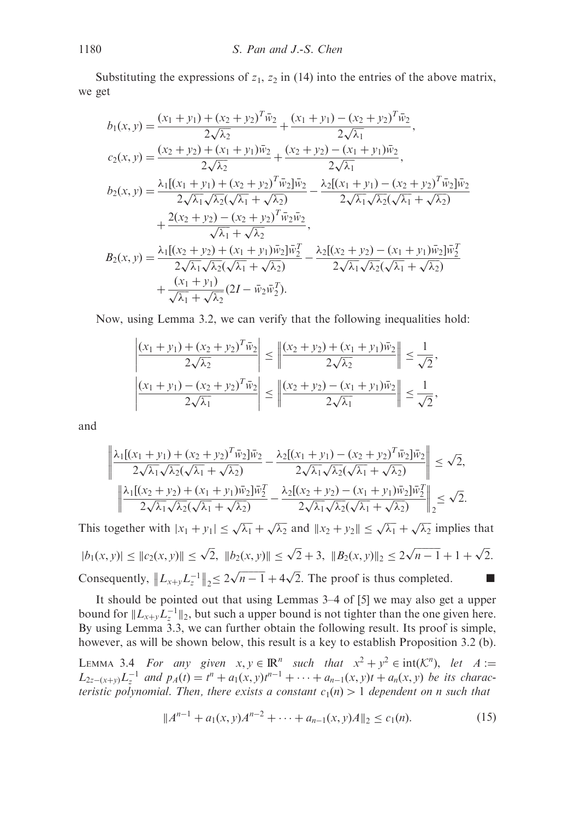Substituting the expressions of  $z_1$ ,  $z_2$  in (14) into the entries of the above matrix, we get

$$
b_1(x, y) = \frac{(x_1 + y_1) + (x_2 + y_2)^T \bar{w}_2}{2\sqrt{\lambda_2}} + \frac{(x_1 + y_1) - (x_2 + y_2)^T \bar{w}_2}{2\sqrt{\lambda_1}},
$$
  
\n
$$
c_2(x, y) = \frac{(x_2 + y_2) + (x_1 + y_1) \bar{w}_2}{2\sqrt{\lambda_2}} + \frac{(x_2 + y_2) - (x_1 + y_1) \bar{w}_2}{2\sqrt{\lambda_1}},
$$
  
\n
$$
b_2(x, y) = \frac{\lambda_1 [(x_1 + y_1) + (x_2 + y_2)^T \bar{w}_2] \bar{w}_2}{2\sqrt{\lambda_1} \sqrt{\lambda_2} (\sqrt{\lambda_1} + \sqrt{\lambda_2})} - \frac{\lambda_2 [(x_1 + y_1) - (x_2 + y_2)^T \bar{w}_2] \bar{w}_2}{2\sqrt{\lambda_1} \sqrt{\lambda_2} (\sqrt{\lambda_1} + \sqrt{\lambda_2})} + \frac{2(x_2 + y_2) - (x_2 + y_2)^T \bar{w}_2 \bar{w}_2}{\sqrt{\lambda_1} + \sqrt{\lambda_2}},
$$
  
\n
$$
B_2(x, y) = \frac{\lambda_1 [(x_2 + y_2) + (x_1 + y_1) \bar{w}_2] \bar{w}_2^T}{2\sqrt{\lambda_1} \sqrt{\lambda_2} (\sqrt{\lambda_1} + \sqrt{\lambda_2})} - \frac{\lambda_2 [(x_2 + y_2) - (x_1 + y_1) \bar{w}_2] \bar{w}_2^T}{2\sqrt{\lambda_1} \sqrt{\lambda_2} (\sqrt{\lambda_1} + \sqrt{\lambda_2})} + \frac{(x_1 + y_1)}{\sqrt{\lambda_1} + \sqrt{\lambda_2}} (2I - \bar{w}_2 \bar{w}_2^T).
$$

Now, using Lemma 3.2, we can verify that the following inequalities hold:

$$
\left| \frac{(x_1 + y_1) + (x_2 + y_2)^T \bar{w}_2}{2\sqrt{\lambda_2}} \right| \le \left| \frac{(x_2 + y_2) + (x_1 + y_1)\bar{w}_2}{2\sqrt{\lambda_2}} \right| \le \frac{1}{\sqrt{2}},
$$
  

$$
\left| \frac{(x_1 + y_1) - (x_2 + y_2)^T \bar{w}_2}{2\sqrt{\lambda_1}} \right| \le \left| \frac{(x_2 + y_2) - (x_1 + y_1)\bar{w}_2}{2\sqrt{\lambda_1}} \right| \le \frac{1}{\sqrt{2}},
$$

and

$$
\left\| \frac{\lambda_1[(x_1 + y_1) + (x_2 + y_2)^T \bar{w}_2] \bar{w}_2}{2\sqrt{\lambda_1} \sqrt{\lambda_2} (\sqrt{\lambda_1} + \sqrt{\lambda_2})} - \frac{\lambda_2[(x_1 + y_1) - (x_2 + y_2)^T \bar{w}_2] \bar{w}_2}{2\sqrt{\lambda_1} \sqrt{\lambda_2} (\sqrt{\lambda_1} + \sqrt{\lambda_2})} \right\| \leq \sqrt{2},
$$
  

$$
\left\| \frac{\lambda_1[(x_2 + y_2) + (x_1 + y_1) \bar{w}_2] \bar{w}_2^T}{2\sqrt{\lambda_1} \sqrt{\lambda_2} (\sqrt{\lambda_1} + \sqrt{\lambda_2})} - \frac{\lambda_2[(x_2 + y_2) - (x_1 + y_1) \bar{w}_2] \bar{w}_2^T}{2\sqrt{\lambda_1} \sqrt{\lambda_2} (\sqrt{\lambda_1} + \sqrt{\lambda_2})} \right\|_2 \leq \sqrt{2}.
$$

This together with  $|x_1 + y_1| \le \sqrt{\lambda_1} + \sqrt{\lambda_2}$  and  $||x_2 + y_2|| \le \sqrt{\lambda_1} + \sqrt{\lambda_2}$  implies that  $|b_1(x, y)| \leq ||c_2(x, y)|| \leq \sqrt{2}$ ,  $||b_2(x, y)|| \leq \sqrt{2} + 3$ ,  $||B_2(x, y)||_2 \leq 2\sqrt{n-1} + 1 + \sqrt{2}$ . Consequently,  $\Vert L_{x+y} L_z^{-1} \Vert$  $\|L_{x+y}L_z^{-1}\|_2 \leq 2\sqrt{n-1} + 4\sqrt{2}$ . The proof is thus completed.

It should be pointed out that using Lemmas 3–4 of [5] we may also get a upper bound for  $||L_{x+y}L_z^{-1}||_2$ , but such a upper bound is not tighter than the one given here. By using Lemma 3.3, we can further obtain the following result. Its proof is simple, however, as will be shown below, this result is a key to establish Proposition 3.2 (b).

LEMMA 3.4 For any given  $x, y \in \mathbb{R}^n$  such that  $x^2 + y^2 \in \text{int}(\mathcal{K}^n)$ , let  $A :=$  $L_{2z-(x+y)}L_z^{-1}$  and  $p_A(t) = t^n + a_1(x, y)t^{n-1} + \cdots + a_{n-1}(x, y)t + a_n(x, y)$  be its characteristic polynomial. Then, there exists a constant  $c_1(n) > 1$  dependent on n such that

$$
||A^{n-1} + a_1(x, y)A^{n-2} + \dots + a_{n-1}(x, y)A||_2 \le c_1(n). \tag{15}
$$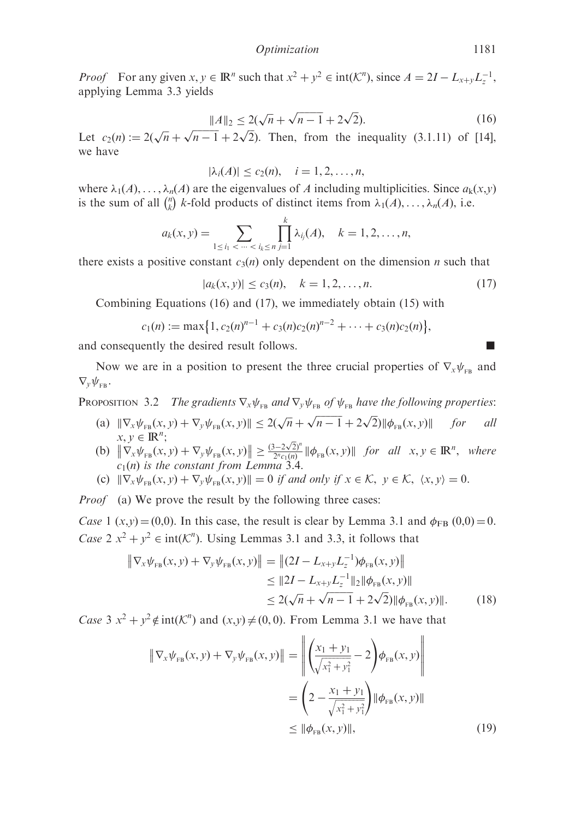*Proof* For any given  $x, y \in \mathbb{R}^n$  such that  $x^2 + y^2 \in \text{int}(\mathcal{K}^n)$ , since  $A = 2I - L_{x+y}L_z^{-1}$ , applying Lemma 3.3 yields

$$
||A||_2 \le 2(\sqrt{n} + \sqrt{n-1} + 2\sqrt{2}).
$$
 (16)

Let  $c_2(n) := 2(\sqrt{n} + \sqrt{n-1} + 2\sqrt{2})$ . Then, from the inequality (3.1.11) of [14], we have

$$
|\lambda_i(A)| \leq c_2(n), \quad i=1,2,\ldots,n,
$$

where  $\lambda_1(A), \ldots, \lambda_n(A)$  are the eigenvalues of A including multiplicities. Since  $a_k(x, y)$ is the sum of all  $\binom{n}{k}$  k-fold products of distinct items from  $\lambda_1(A), \ldots, \lambda_n(A)$ , i.e.

$$
a_k(x, y) = \sum_{1 \le i_1 < \dots < i_k \le n} \prod_{j=1}^k \lambda_{i_j}(A), \quad k = 1, 2, \dots, n,
$$

there exists a positive constant  $c_3(n)$  only dependent on the dimension n such that

$$
|a_k(x, y)| \le c_3(n), \quad k = 1, 2, \dots, n. \tag{17}
$$

Combining Equations (16) and (17), we immediately obtain (15) with

$$
c_1(n) := \max\{1, c_2(n)^{n-1} + c_3(n)c_2(n)^{n-2} + \cdots + c_3(n)c_2(n)\},\
$$

and consequently the desired result follows.

Now we are in a position to present the three crucial properties of  $\nabla_x \psi_{FB}$  and  $\nabla_{v} \psi_{\text{FB}}$ .

PROPOSITION 3.2 The gradients  $\nabla_x \psi_{FB}$  and  $\nabla_y \psi_{FB}$  of  $\psi_{FB}$  have the following properties:

- (a)  $\|\nabla_x \psi_{FB}(x, y) + \nabla_y \psi_{FB}(x, y)\| \leq 2(\sqrt{n} + \sqrt{n-1} + 2\sqrt{2}) \|\phi_{FB}(x, y)\|$  for all  $x, y \in \mathbb{R}^n$ ;
- $x, y \in \mathbb{R}^n$ ;<br>
(b)  $\|\nabla_x \psi_{FB}(x, y) + \nabla_y \psi_{FB}(x, y)\| \ge \frac{(3-2\sqrt{2})^n}{2^n c_1(n)} \|\phi_{FB}(x, y)\|$  for all  $x, y \in \mathbb{R}^n$ , where  $c_1(n)$  is the constant from Lemma 3.4.
- (c)  $\|\nabla_x \psi_{FB}(x, y) + \nabla_y \psi_{FB}(x, y)\| = 0$  if and only if  $x \in \mathcal{K}$ ,  $y \in \mathcal{K}$ ,  $\langle x, y \rangle = 0$ .

*Proof* (a) We prove the result by the following three cases:

Case 1 (x,y) = (0,0). In this case, the result is clear by Lemma 3.1 and  $\phi_{FB}$  (0,0) = 0. Case  $2 x^2 + y^2 \in \text{int}(\mathcal{K}^n)$ . Using Lemmas 3.1 and 3.3, it follows that

$$
\|\nabla_x \psi_{FB}(x, y) + \nabla_y \psi_{FB}(x, y)\| = \|(2I - L_{x+y}L_z^{-1})\phi_{FB}(x, y)\|
$$
  
\n
$$
\leq \|2I - L_{x+y}L_z^{-1}\|_2 \|\phi_{FB}(x, y)\|
$$
  
\n
$$
\leq 2(\sqrt{n} + \sqrt{n-1} + 2\sqrt{2})\|\phi_{FB}(x, y)\|.
$$
 (18)

Case 3  $x^2 + y^2 \notin \text{int}(\mathcal{K}^n)$  and  $(x, y) \neq (0, 0)$ . From Lemma 3.1 we have that

$$
\|\nabla_x \psi_{FB}(x, y) + \nabla_y \psi_{FB}(x, y)\| = \left\| \left( \frac{x_1 + y_1}{\sqrt{x_1^2 + y_1^2}} - 2 \right) \phi_{FB}(x, y) \right\|
$$
  
=  $\left( 2 - \frac{x_1 + y_1}{\sqrt{x_1^2 + y_1^2}} \right) \|\phi_{FB}(x, y)\|$   
 $\leq \|\phi_{FB}(x, y)\|,$  (19)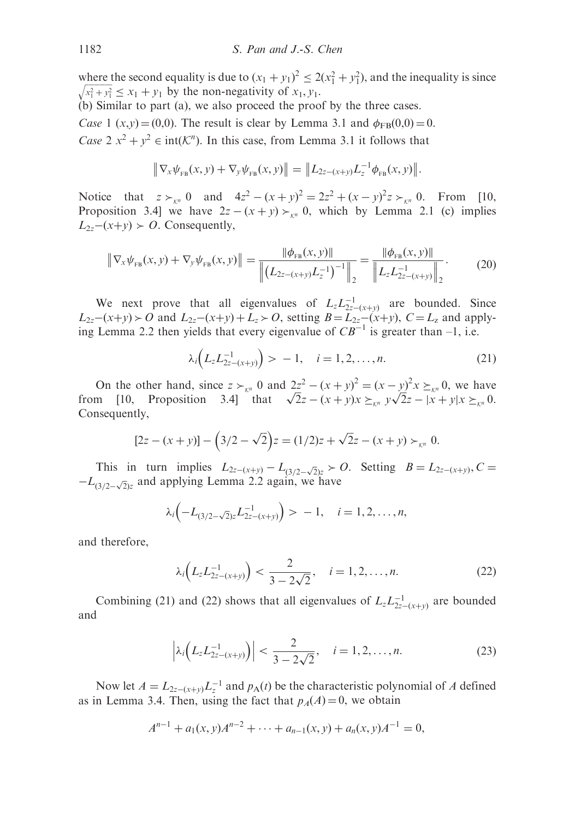where the second equality is due to  $(x_1 + y_1)^2 \le 2(x_1^2 + y_1^2)$ , and the inequality is since  $x_1^2 + y_1^2$  $\sqrt{x_1^2 + y_1^2} \le x_1 + y_1$  by the non-negativity of  $x_1, y_1$ .

(b) Similar to part (a), we also proceed the proof by the three cases.

Case 1  $(x,y) = (0,0)$ . The result is clear by Lemma 3.1 and  $\phi_{FB}(0,0) = 0$ . Case  $2 x^2 + y^2 \in \text{int}(\mathcal{K}^n)$ . In this case, from Lemma 3.1 it follows that

$$
\|\nabla_x \psi_{FB}(x, y) + \nabla_y \psi_{FB}(x, y)\| = \|L_{2z-(x+y)}L_z^{-1}\phi_{FB}(x, y)\|.
$$

Notice that  $z >_{\kappa^n} 0$  and  $4z^2 - (x + y)^2 = 2z^2 + (x - y)^2 z >_{\kappa^n} 0$ . From [10, Proposition 3.4] we have  $2z - (x + y) \succ_{x_n} 0$ , which by Lemma 2.1 (c) implies  $L_{2z}-(x+y) > 0$ . Consequently,

$$
\left\| \nabla_x \psi_{\text{FB}}(x, y) + \nabla_y \psi_{\text{FB}}(x, y) \right\| = \frac{\left\| \phi_{\text{FB}}(x, y) \right\|}{\left\| \left( L_{2z - (x + y)} L_z^{-1} \right)^{-1} \right\|_2} = \frac{\left\| \phi_{\text{FB}}(x, y) \right\|}{\left\| L_z L_{2z - (x + y)}^{-1} \right\|_2}.
$$
 (20)

We next prove that all eigenvalues of  $L_z L_{2z-(x+y)}^{-1}$  are bounded. Since  $L_{2z}-(x+y) > 0$  and  $L_{2z}-(x+y)+L_z > 0$ , setting  $B = L_{2z}-(x+y)$ ,  $C = L_z$  and applying Lemma 2.2 then yields that every eigenvalue of  $CB^{-1}$  is greater than -1, i.e.

$$
\lambda_i \Big( L_z L_{2z - (x+y)}^{-1} \Big) > -1, \quad i = 1, 2, \dots, n. \tag{21}
$$

On the other hand, since  $z \succ_{\kappa^n} 0$  and  $2z^2 - (x + y)^2 = (x - y)^2 x \succeq_{\kappa^n} 0$ , we have from [10, Proposition 3.4] that  $\sqrt{2}z - (x + y)x \succeq_{\kappa^n} y\sqrt{2}z - |x + y|x \succeq_{\kappa^n} 0$ . Consequently,

$$
[2z - (x + y)] - (3/2 - \sqrt{2})z = (1/2)z + \sqrt{2}z - (x + y) \succ_{\mathcal{K}^n} 0.
$$

This in turn implies  $L_{2z-(x+y)} - L_{(3/2-\sqrt{2})z} > 0$ . Setting  $B = L_{2z-(x+y)}$ ,  $C =$  $-L_{(3/2-\sqrt{2})z}$  and applying Lemma 2.2 again, we have

$$
\lambda_i\Big(-L_{(3/2-\sqrt{2})z}L_{2z-(x+y)}^{-1}\Big) > -1, \quad i=1,2,\ldots,n,
$$

and therefore,

$$
\lambda_i \Big( L_z L_{2z - (x+y)}^{-1} \Big) < \frac{2}{3 - 2\sqrt{2}}, \quad i = 1, 2, \dots, n. \tag{22}
$$

Combining (21) and (22) shows that all eigenvalues of  $L_z L_{2z-(x+y)}^{-1}$  are bounded and

$$
\left|\lambda_i\left(L_z L_{2z-(x+y)}^{-1}\right)\right| < \frac{2}{3-2\sqrt{2}}, \quad i=1,2,\ldots,n. \tag{23}
$$

Now let  $A = L_{2z-(x+y)}L_z^{-1}$  and  $p_A(t)$  be the characteristic polynomial of A defined as in Lemma 3.4. Then, using the fact that  $p_A(A) = 0$ , we obtain

$$
A^{n-1} + a_1(x, y)A^{n-2} + \cdots + a_{n-1}(x, y) + a_n(x, y)A^{-1} = 0,
$$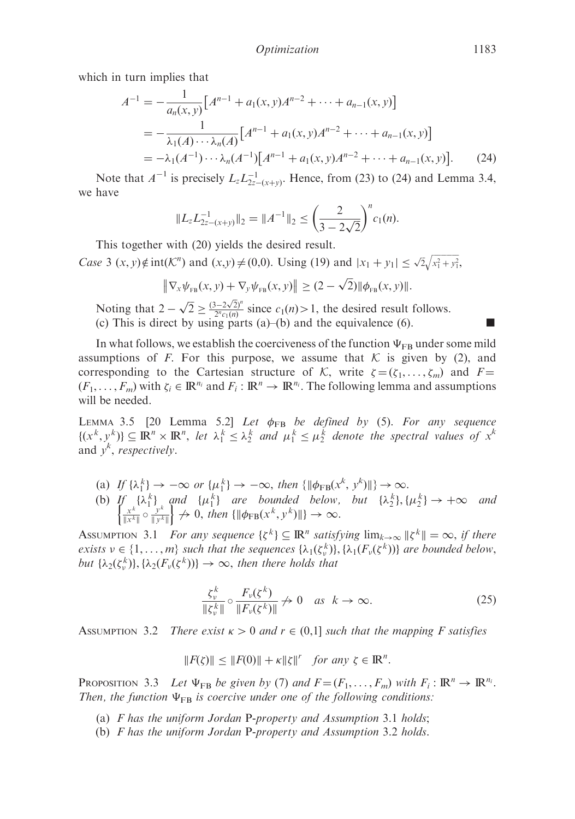which in turn implies that

$$
A^{-1} = -\frac{1}{a_n(x, y)} [A^{n-1} + a_1(x, y)A^{n-2} + \dots + a_{n-1}(x, y)]
$$
  
= 
$$
-\frac{1}{\lambda_1(A)\cdots\lambda_n(A)} [A^{n-1} + a_1(x, y)A^{n-2} + \dots + a_{n-1}(x, y)]
$$
  
= 
$$
-\lambda_1(A^{-1})\cdots\lambda_n(A^{-1}) [A^{n-1} + a_1(x, y)A^{n-2} + \dots + a_{n-1}(x, y)].
$$
 (24)

Note that  $A^{-1}$  is precisely  $L_z L_{2z-(x+y)}^{-1}$ . Hence, from (23) to (24) and Lemma 3.4, we have

$$
||L_z L_{2z-(x+y)}^{-1}||_2 = ||A^{-1}||_2 \le \left(\frac{2}{3-2\sqrt{2}}\right)^n c_1(n).
$$

This together with (20) yields the desired result.

*Case* 3  $(x, y) \notin \text{int}(\mathcal{K}^n)$  and  $(x,y) \neq (0,0)$ . Using (19) and  $|x_1 + y_1| \leq \sqrt{2}\sqrt{x_1^2 + y_1^2}$  $\sqrt{x_1^2 + y_1^2}$ 

$$
\|\nabla_{x}\psi_{FB}(x,y)+\nabla_{y}\psi_{FB}(x,y)\| \geq (2-\sqrt{2})\|\phi_{FB}(x,y)\|.
$$

Noting that  $2 - \sqrt{2} \ge \frac{(3 - 2\sqrt{2})^n}{2^n c_1(n)}$  since  $c_1(n) > 1$ , the desired result follows. (c) This is direct by using parts (a)–(b) and the equivalence (6).

In what follows, we establish the coerciveness of the function  $\Psi_{FB}$  under some mild assumptions of F. For this purpose, we assume that  $K$  is given by (2), and corresponding to the Cartesian structure of K, write  $\zeta = (\zeta_1, \dots, \zeta_m)$  and  $F =$  $(F_1, \ldots, F_m)$  with  $\zeta_i \in \mathbb{R}^{n_i}$  and  $F_i : \mathbb{R}^n \to \mathbb{R}^{n_i}$ . The following lemma and assumptions will be needed.

LEMMA 3.5 [20 Lemma 5.2] Let  $\phi_{FB}$  be defined by (5). For any sequence  $\{(x^k, y^k)\}\subseteq \mathbb{R}^n \times \mathbb{R}^n$ , let  $\lambda_1^k \leq \lambda_2^k$  and  $\mu_1^k \leq \mu_2^k$  denote the spectral values of  $x^k$ and  $y^k$ , respectively.

- (a) If  $\{\lambda_1^k\} \rightarrow -\infty$  or  $\{\mu_1^k\} \rightarrow -\infty$ , then  $\{\|\phi_{FB}(x^k, y^k)\|\} \rightarrow \infty$ .
- (b)  $\iint_{\mathbb{R}^k} {\{\lambda_1^k\}}$  and  ${\{\mu_1^k\}}$  are bounded below, but  ${\{\lambda_2^k\}}, {\{\mu_2^k\}} \to +\infty$  and  ${\{\|\psi_F\| \to 0, \text{ then }\{\|\phi_{FB}(x^k, y^k)\|\}} \to \infty.$

ASSUMPTION 3.1 For any sequence  $\{\zeta^k\} \subseteq \mathbb{R}^n$  satisfying  $\lim_{k\to\infty} \|\zeta^k\| = \infty$ , if there exists  $v \in \{1, ..., m\}$  such that the sequences  $\{\lambda_1(\zeta_v^k)\}, \{\lambda_1(F_v(\zeta^k))\}$  are bounded below, but  $\{\lambda_2(\zeta_v^k)\}, \{\lambda_2(F_v(\zeta^k))\} \to \infty$ , then there holds that

$$
\frac{\zeta_v^k}{\|\zeta_v^k\|} \circ \frac{F_v(\zeta^k)}{\|F_v(\zeta^k)\|} \nrightarrow 0 \quad \text{as } k \to \infty.
$$
 (25)

ASSUMPTION 3.2 There exist  $\kappa > 0$  and  $r \in (0,1]$  such that the mapping F satisfies

$$
||F(\zeta)|| \le ||F(0)|| + \kappa ||\zeta||^r \quad \text{for any } \zeta \in \mathbb{R}^n.
$$

PROPOSITION 3.3 Let  $\Psi_{FB}$  be given by (7) and  $F = (F_1, \ldots, F_m)$  with  $F_i : \mathbb{R}^n \to \mathbb{R}^{n_i}$ . Then, the function  $\Psi_{FB}$  is coercive under one of the following conditions:

- (a)  $F$  has the uniform Jordan P-property and Assumption 3.1 holds;
- (b) F has the uniform Jordan P-property and Assumption 3.2 holds.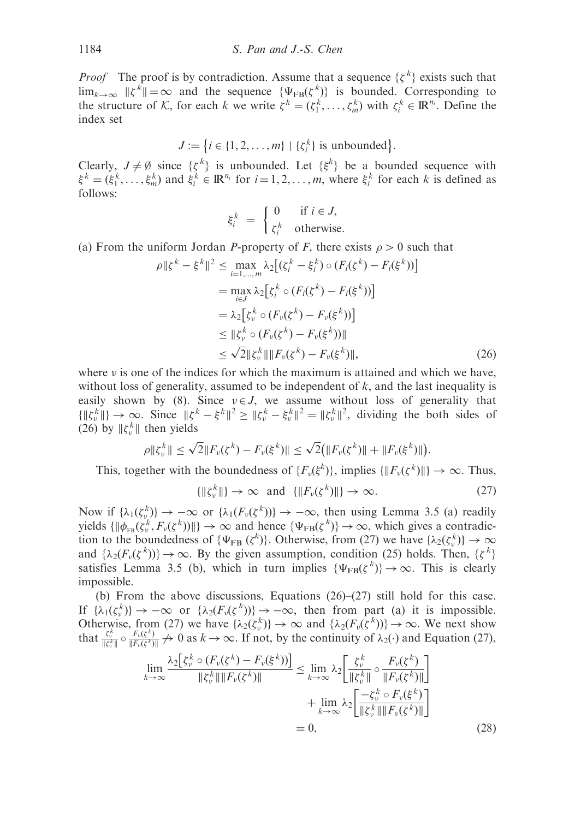*Proof* The proof is by contradiction. Assume that a sequence  $\{\zeta^k\}$  exists such that  $\lim_{k\to\infty} ||\zeta^k|| = \infty$  and the sequence  $\{\Psi_{FB}(\zeta^k)\}\$ is bounded. Corresponding to the structure of K, for each k we write  $\zeta^k = (\zeta_1^k, \dots, \zeta_m^k)$  with  $\zeta_i^k \in \mathbb{R}^{n_i}$ . Define the index set

 $J := \{i \in \{1, 2, ..., m\} \mid \{\xi_i^k\} \text{ is unbounded}\}.$ 

Clearly,  $J \neq \emptyset$  since  $\{\zeta^k\}$  is unbounded. Let  $\{\xi^k\}$  be a bounded sequence with  $\xi^k = (\xi_1^k, \ldots, \xi_m^k)$  and  $\xi_i^k \in \mathbb{R}^{n_i}$  for  $i = 1, 2, \ldots, m$ , where  $\xi_i^k$  for each k is defined as follows:

$$
\xi_i^k = \begin{cases} 0 & \text{if } i \in J, \\ \zeta_i^k & \text{otherwise.} \end{cases}
$$

(a) From the uniform Jordan P-property of F, there exists  $\rho > 0$  such that

$$
\rho \| \xi^{k} - \xi^{k} \|^{2} \leq \max_{i=1,...,m} \lambda_{2} [(\xi_{i}^{k} - \xi_{i}^{k}) \circ (F_{i}(\xi^{k}) - F_{i}(\xi^{k}))]
$$
  
\n
$$
= \max_{i \in J} \lambda_{2} [\xi_{i}^{k} \circ (F_{i}(\xi^{k}) - F_{i}(\xi^{k}))]
$$
  
\n
$$
= \lambda_{2} [\xi_{\nu}^{k} \circ (F_{\nu}(\xi^{k}) - F_{\nu}(\xi^{k}))]
$$
  
\n
$$
\leq \| \xi_{\nu}^{k} \circ (F_{\nu}(\xi^{k}) - F_{\nu}(\xi^{k})) \|
$$
  
\n
$$
\leq \sqrt{2} \| \xi_{\nu}^{k} \| \| F_{\nu}(\xi^{k}) - F_{\nu}(\xi^{k}) \|,
$$
 (26)

where  $\nu$  is one of the indices for which the maximum is attained and which we have, without loss of generality, assumed to be independent of  $k$ , and the last inequality is easily shown by (8). Since  $v \in J$ , we assume without loss of generality that  $\{\|\xi_v^k\|\}\to\infty$ . Since  $\|\xi^k-\xi^k\|^2\geq \|\xi_v^k-\xi_v^k\|^2=\|\xi_v^k\|^2$ , dividing the both sides of (26) by  $\|\xi_{\nu}^{k}\|$  then yields

$$
\rho \|\zeta_v^k\| \leq \sqrt{2} \|F_v(\zeta^k) - F_v(\xi^k)\| \leq \sqrt{2} \big( \|F_v(\zeta^k)\| + \|F_v(\xi^k)\| \big).
$$

This, together with the boundedness of  $\{F_v(\xi^k)\}\$ , implies  $\{\|F_v(\xi^k)\|\}\to\infty$ . Thus,

$$
\{\|\zeta_v^k\|\} \to \infty \quad \text{and} \quad \{\|F_v(\zeta^k)\|\} \to \infty. \tag{27}
$$

Now if  $\{\lambda_1(\zeta_v^k)\}\to -\infty$  or  $\{\lambda_1(F_v(\zeta^k))\}\to -\infty$ , then using Lemma 3.5 (a) readily yields  $\{\|\phi_{FB}(\zeta_v^k, F_v(\zeta^k))\|\}\to\infty$  and hence  $\{\Psi_{FB}(\zeta^k)\}\to\infty$ , which gives a contradiction to the boundedness of  $\{\Psi_{FB} (\zeta^k)\}\)$ . Otherwise, from (27) we have  $\{\lambda_2(\zeta_v^k)\}\to\infty$ and  $\{\lambda_2(F_\nu(\zeta^k))\}\to\infty$ . By the given assumption, condition (25) holds. Then,  $\{\zeta^k\}$ satisfies Lemma 3.5 (b), which in turn implies  $\{\Psi_{FB}(\zeta^k)\}\rightarrow\infty$ . This is clearly impossible.

(b) From the above discussions, Equations (26)–(27) still hold for this case. If  $\{\lambda_1(\zeta_v^k)\}\to -\infty$  or  $\{\lambda_2(F_v(\zeta^k))\}\to -\infty$ , then from part (a) it is impossible. Otherwise, from (27) we have  $\{\lambda_2(\zeta_v^k)\}\to\infty$  and  $\{\lambda_2(F_v(\zeta^k))\}\to\infty$ . We next show that  $\frac{\zeta_v^k}{\|\zeta_v^k\|} \circ \frac{F_v(\zeta^k)}{\|F_v(\zeta^k)}$  $\frac{F_v(\zeta^n)}{\|F_v(\zeta^k)\|} \nrightarrow 0$  as  $k \rightarrow \infty$ . If not, by the continuity of  $\lambda_2(\cdot)$  and Equation (27),

$$
\lim_{k \to \infty} \frac{\lambda_2 [\zeta_v^k \circ (F_v(\zeta^k) - F_v(\xi^k))] }{\|\zeta_v^k\| \|\overline{F_v(\zeta^k)}\|} \leq \lim_{k \to \infty} \lambda_2 \left[ \frac{\zeta_v^k}{\|\zeta_v^k\|} \circ \frac{F_v(\zeta^k)}{\|\overline{F_v(\zeta^k)}\|} + \lim_{k \to \infty} \lambda_2 \left[ \frac{-\zeta_v^k \circ F_v(\xi^k)}{\|\zeta_v^k\| \|\overline{F_v(\zeta^k)}\|} \right] \right] = 0,
$$
\n(28)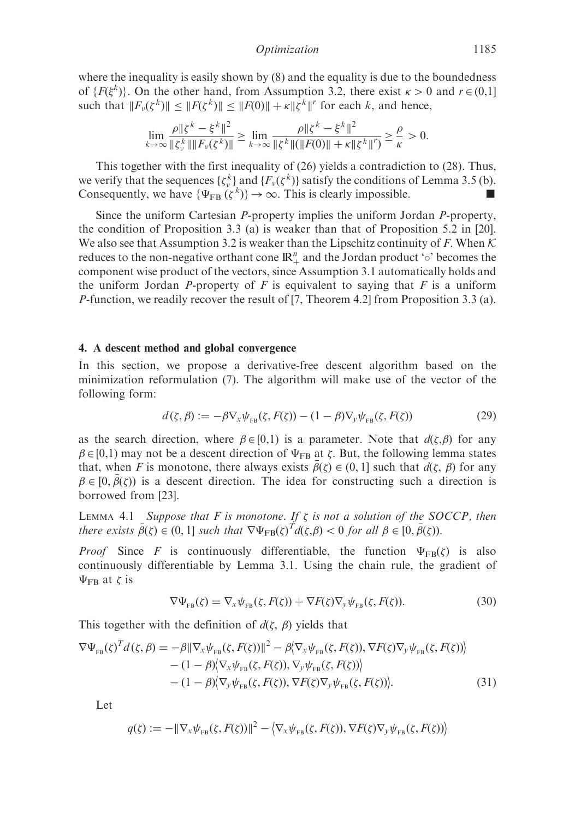where the inequality is easily shown by  $(8)$  and the equality is due to the boundedness of  $\{F(\xi^k)\}\)$ . On the other hand, from Assumption 3.2, there exist  $\kappa > 0$  and  $r \in (0,1]$ such that  $||F_v(\zeta^k)|| \le ||F(\zeta^k)|| \le ||F(0)|| + \kappa ||\zeta^k||^r$  for each k, and hence,

$$
\lim_{k \to \infty} \frac{\rho \| \zeta^k - \xi^k \|^2}{\|\zeta^k_{\nu}\| \|F_{\nu}(\zeta^k)\|} \ge \lim_{k \to \infty} \frac{\rho \| \zeta^k - \xi^k \|^2}{\|\zeta^k\| (\|F(0)\| + \kappa \|\zeta^k\|')^2} \ge \frac{\rho}{\kappa} > 0.
$$

This together with the first inequality of (26) yields a contradiction to (28). Thus, we verify that the sequences  $\{\zeta_v^k\}$  and  $\{F_v(\zeta^k)\}$  satisfy the conditions of Lemma 3.5 (b). Consequently, we have  $\{\Psi_{FB} (\zeta^k)\} \to \infty$ . This is clearly impossible.

Since the uniform Cartesian P-property implies the uniform Jordan P-property, the condition of Proposition 3.3 (a) is weaker than that of Proposition 5.2 in [20]. We also see that Assumption 3.2 is weaker than the Lipschitz continuity of F. When  $\mathcal K$ reduces to the non-negative orthant cone  $\mathbb{R}^n_+$  and the Jordan product ' $\circ$ ' becomes the component wise product of the vectors, since Assumption 3.1 automatically holds and the uniform Jordan P-property of F is equivalent to saying that F is a uniform P-function, we readily recover the result of [7, Theorem 4.2] from Proposition 3.3 (a).

#### 4. A descent method and global convergence

In this section, we propose a derivative-free descent algorithm based on the minimization reformulation (7). The algorithm will make use of the vector of the following form:

$$
d(\zeta, \beta) := -\beta \nabla_x \psi_{FB}(\zeta, F(\zeta)) - (1 - \beta) \nabla_y \psi_{FB}(\zeta, F(\zeta)) \tag{29}
$$

as the search direction, where  $\beta \in [0,1)$  is a parameter. Note that  $d(\zeta,\beta)$  for any  $\beta \in [0,1)$  may not be a descent direction of  $\Psi_{FB}$  at  $\zeta$ . But, the following lemma states that, when F is monotone, there always exists  $\bar{\beta}(\zeta) \in (0,1]$  such that  $d(\zeta, \beta)$  for any  $\beta \in [0, \bar{\beta}(\zeta))$  is a descent direction. The idea for constructing such a direction is borrowed from [23].

LEMMA 4.1 Suppose that F is monotone. If  $\zeta$  is not a solution of the SOCCP, then there exists  $\bar{\beta}(\zeta) \in (0,1]$  such that  $\nabla \Psi_{FB}(\zeta)^T d(\zeta,\beta) < 0$  for all  $\beta \in [0,\bar{\beta}(\zeta))$ .

*Proof* Since F is continuously differentiable, the function  $\Psi_{FB}(\zeta)$  is also continuously differentiable by Lemma 3.1. Using the chain rule, the gradient of  $\Psi_{FB}$  at  $\zeta$  is

$$
\nabla \Psi_{\text{FB}}(\zeta) = \nabla_x \psi_{\text{FB}}(\zeta, F(\zeta)) + \nabla F(\zeta) \nabla_y \psi_{\text{FB}}(\zeta, F(\zeta)). \tag{30}
$$

This together with the definition of  $d(\zeta, \beta)$  yields that

$$
\nabla \Psi_{\text{FB}}(\zeta)^T d(\zeta, \beta) = -\beta \|\nabla_x \psi_{\text{FB}}(\zeta, F(\zeta))\|^2 - \beta \langle \nabla_x \psi_{\text{FB}}(\zeta, F(\zeta)), \nabla F(\zeta) \nabla_y \psi_{\text{FB}}(\zeta, F(\zeta)) \rangle - (1 - \beta) \langle \nabla_x \psi_{\text{FB}}(\zeta, F(\zeta)), \nabla_y \psi_{\text{FB}}(\zeta, F(\zeta)) \rangle - (1 - \beta) \langle \nabla_y \psi_{\text{FB}}(\zeta, F(\zeta)), \nabla F(\zeta) \nabla_y \psi_{\text{FB}}(\zeta, F(\zeta)) \rangle.
$$
 (31)

Let

$$
q(\zeta) := -\|\nabla_x \psi_{FB}(\zeta, F(\zeta))\|^2 - \langle \nabla_x \psi_{FB}(\zeta, F(\zeta)), \nabla F(\zeta) \nabla_y \psi_{FB}(\zeta, F(\zeta)) \rangle
$$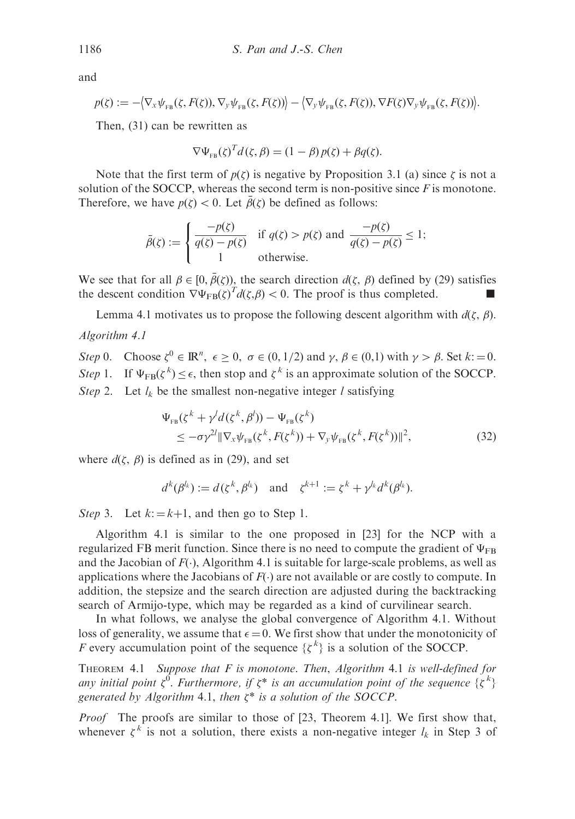and

$$
p(\zeta) := -\big\langle \nabla_{\mathbf{x}} \psi_{\text{FB}}(\zeta, F(\zeta)), \nabla_{\mathbf{y}} \psi_{\text{FB}}(\zeta, F(\zeta)) \big\rangle - \big\langle \nabla_{\mathbf{y}} \psi_{\text{FB}}(\zeta, F(\zeta)), \nabla F(\zeta) \nabla_{\mathbf{y}} \psi_{\text{FB}}(\zeta, F(\zeta)) \big\rangle.
$$

Then, (31) can be rewritten as

$$
\nabla \Psi_{\text{FB}}(\zeta)^T d(\zeta, \beta) = (1 - \beta) p(\zeta) + \beta q(\zeta).
$$

Note that the first term of  $p(\zeta)$  is negative by Proposition 3.1 (a) since  $\zeta$  is not a solution of the SOCCP, whereas the second term is non-positive since  $F$  is monotone. Therefore, we have  $p(\zeta) < 0$ . Let  $\bar{\beta}(\zeta)$  be defined as follows:

$$
\bar{\beta}(\zeta) := \begin{cases}\n\frac{-p(\zeta)}{q(\zeta) - p(\zeta)} & \text{if } q(\zeta) > p(\zeta) \text{ and } \frac{-p(\zeta)}{q(\zeta) - p(\zeta)} \le 1; \\
1 & \text{otherwise.} \n\end{cases}
$$

We see that for all  $\beta \in [0, \bar{\beta}(\zeta))$ , the search direction  $d(\zeta, \beta)$  defined by (29) satisfies the descent condition  $\nabla \Psi_{FB}(\zeta)^T d(\zeta, \beta) < 0$ . The proof is thus completed.

Lemma 4.1 motivates us to propose the following descent algorithm with  $d(\zeta, \beta)$ . Algorithm 4.1

Step 0. Choose  $\zeta^0 \in \mathbb{R}^n$ ,  $\epsilon \ge 0$ ,  $\sigma \in (0, 1/2)$  and  $\gamma$ ,  $\beta \in (0, 1)$  with  $\gamma > \beta$ . Set  $k := 0$ . Step 1. If  $\Psi_{FB}(\zeta^k) \leq \epsilon$ , then stop and  $\zeta^k$  is an approximate solution of the SOCCP. Step 2. Let  $l_k$  be the smallest non-negative integer l satisfying

$$
\Psi_{\text{FB}}(\zeta^k + \gamma^l d(\zeta^k, \beta^l)) - \Psi_{\text{FB}}(\zeta^k)
$$
  
\n
$$
\leq -\sigma \gamma^{2l} \|\nabla_x \psi_{\text{FB}}(\zeta^k, F(\zeta^k)) + \nabla_y \psi_{\text{FB}}(\zeta^k, F(\zeta^k))\|^2,
$$
\n(32)

where  $d(\zeta, \beta)$  is defined as in (29), and set

$$
d^k(\beta^{l_k}) := d(\zeta^k, \beta^{l_k}) \quad \text{and} \quad \zeta^{k+1} := \zeta^k + \gamma^{l_k} d^k(\beta^{l_k}).
$$

Step 3. Let  $k := k+1$ , and then go to Step 1.

Algorithm 4.1 is similar to the one proposed in [23] for the NCP with a regularized FB merit function. Since there is no need to compute the gradient of  $\Psi_{\text{FR}}$ and the Jacobian of  $F(.)$ , Algorithm 4.1 is suitable for large-scale problems, as well as applications where the Jacobians of  $F(\cdot)$  are not available or are costly to compute. In addition, the stepsize and the search direction are adjusted during the backtracking search of Armijo-type, which may be regarded as a kind of curvilinear search.

In what follows, we analyse the global convergence of Algorithm 4.1. Without loss of generality, we assume that  $\epsilon = 0$ . We first show that under the monotonicity of F every accumulation point of the sequence  $\{\zeta^k\}$  is a solution of the SOCCP.

THEOREM 4.1 Suppose that  $F$  is monotone. Then, Algorithm 4.1 is well-defined for any initial point  $\zeta^0$ . Furthermore, if  $\zeta^*$  is an accumulation point of the sequence  $\{\zeta^k\}$ generated by Algorithm 4.1, then  $\zeta^*$  is a solution of the SOCCP.

Proof The proofs are similar to those of [23, Theorem 4.1]. We first show that, whenever  $\zeta^k$  is not a solution, there exists a non-negative integer  $l_k$  in Step 3 of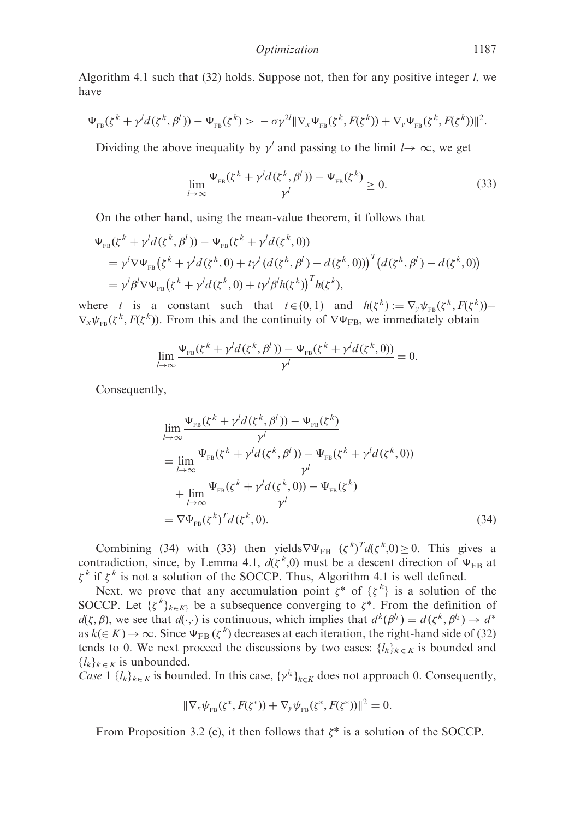Algorithm 4.1 such that  $(32)$  holds. Suppose not, then for any positive integer  $l$ , we have

$$
\Psi_{\text{FB}}(\zeta^k + \gamma^l d(\zeta^k, \beta^l)) - \Psi_{\text{FB}}(\zeta^k) > -\sigma \gamma^{2l} \|\nabla_x \Psi_{\text{FB}}(\zeta^k, F(\zeta^k)) + \nabla_y \Psi_{\text{FB}}(\zeta^k, F(\zeta^k))\|^2.
$$

Dividing the above inequality by  $\gamma^l$  and passing to the limit  $l \rightarrow \infty$ , we get

$$
\lim_{l \to \infty} \frac{\Psi_{FB}(\zeta^k + \gamma^l d(\zeta^k, \beta^l)) - \Psi_{FB}(\zeta^k)}{\gamma^l} \ge 0.
$$
\n(33)

On the other hand, using the mean-value theorem, it follows that

$$
\Psi_{FB}(\zeta^{k} + \gamma^{l} d(\zeta^{k}, \beta^{l})) - \Psi_{FB}(\zeta^{k} + \gamma^{l} d(\zeta^{k}, 0))
$$
\n
$$
= \gamma^{l} \nabla \Psi_{FB} (\zeta^{k} + \gamma^{l} d(\zeta^{k}, 0) + t \gamma^{l} (d(\zeta^{k}, \beta^{l}) - d(\zeta^{k}, 0)))^{T} (d(\zeta^{k}, \beta^{l}) - d(\zeta^{k}, 0))
$$
\n
$$
= \gamma^{l} \beta^{l} \nabla \Psi_{FB} (\zeta^{k} + \gamma^{l} d(\zeta^{k}, 0) + t \gamma^{l} \beta^{l} h(\zeta^{k}))^{T} h(\zeta^{k}),
$$

where t is a constant such that  $t \in (0, 1)$  and  $h(\zeta^k) := \nabla_y \psi_{FB}(\zeta^k, F(\zeta^k))$  $\nabla_x \psi_{FB}(\zeta^k, F(\zeta^k))$ . From this and the continuity of  $\nabla \Psi_{FB}$ , we immediately obtain

$$
\lim_{l\to\infty}\frac{\Psi_{FB}(\zeta^k+\gamma^ld(\zeta^k,\beta^l))-\Psi_{FB}(\zeta^k+\gamma^ld(\zeta^k,0))}{\gamma^l}=0.
$$

Consequently,

$$
\lim_{l \to \infty} \frac{\Psi_{FB}(\zeta^k + \gamma^l d(\zeta^k, \beta^l)) - \Psi_{FB}(\zeta^k)}{\gamma^l}
$$
\n
$$
= \lim_{l \to \infty} \frac{\Psi_{FB}(\zeta^k + \gamma^l d(\zeta^k, \beta^l)) - \Psi_{FB}(\zeta^k + \gamma^l d(\zeta^k, 0))}{\gamma^l}
$$
\n
$$
+ \lim_{l \to \infty} \frac{\Psi_{FB}(\zeta^k + \gamma^l d(\zeta^k, 0)) - \Psi_{FB}(\zeta^k)}{\gamma^l}
$$
\n
$$
= \nabla \Psi_{FB}(\zeta^k)^T d(\zeta^k, 0). \tag{34}
$$

Combining (34) with (33) then yields $\nabla \Psi_{FB}$   $(\zeta^k)^T d(\zeta^k, 0) \ge 0$ . This gives a contradiction, since, by Lemma 4.1,  $d(\zeta^k, 0)$  must be a descent direction of  $\Psi_{FB}$  at  $\zeta^k$  if  $\zeta^k$  is not a solution of the SOCCP. Thus, Algorithm 4.1 is well defined.

Next, we prove that any accumulation point  $\xi^*$  of  $\{\zeta^k\}$  is a solution of the SOCCP. Let  $\{\zeta^k\}_{k \in K}$  be a subsequence converging to  $\zeta^*$ . From the definition of  $d(\zeta, \beta)$ , we see that  $d(\cdot, \cdot)$  is continuous, which implies that  $d^k(\beta^k) = d(\zeta^k, \beta^k) \rightarrow d^*$ as  $k(\in K) \to \infty$ . Since  $\Psi_{FB} (\zeta^k)$  decreases at each iteration, the right-hand side of (32) tends to 0. We next proceed the discussions by two cases:  $\{l_k\}_{k \in K}$  is bounded and  $\{l_k\}_{k \in K}$  is unbounded.

Case  $1 \{l_k\}_{k\in K}$  is bounded. In this case,  $\{\gamma^l_k\}_{k\in K}$  does not approach 0. Consequently,

$$
\|\nabla_{x}\psi_{FB}(\zeta^*, F(\zeta^*)) + \nabla_{y}\psi_{FB}(\zeta^*, F(\zeta^*))\|^2 = 0.
$$

From Proposition 3.2 (c), it then follows that  $\zeta^*$  is a solution of the SOCCP.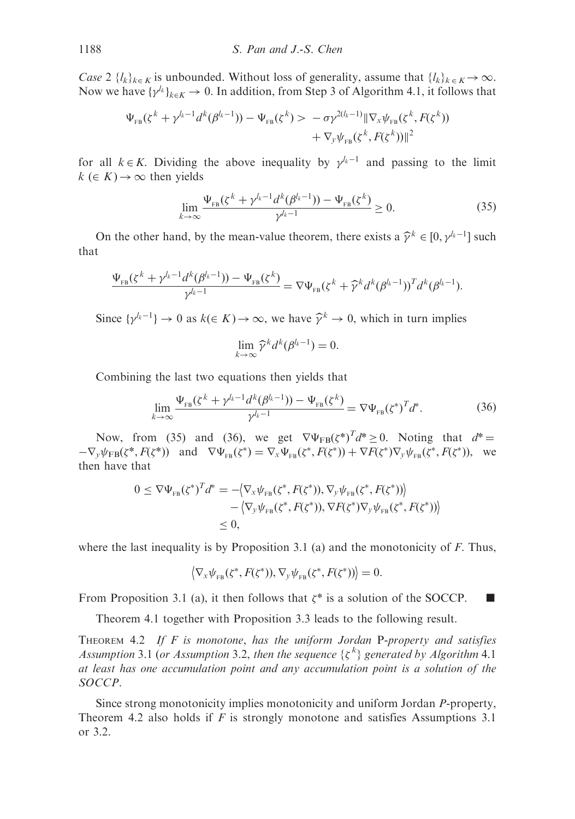Case 2  $\{l_k\}_{k\in K}$  is unbounded. Without loss of generality, assume that  $\{l_k\}_{k\in K} \to \infty$ . Now we have  $\{\gamma^{l_k}\}_{k \in K} \to 0$ . In addition, from Step 3 of Algorithm 4.1, it follows that

$$
\Psi_{FB}(\zeta^k + \gamma^{l_k - 1} d^k(\beta^{l_k - 1})) - \Psi_{FB}(\zeta^k) > -\sigma \gamma^{2(l_k - 1)} \|\nabla_x \psi_{FB}(\zeta^k, F(\zeta^k)) + \nabla_y \psi_{FB}(\zeta^k, F(\zeta^k))\|^2
$$

for all  $k \in K$ . Dividing the above inequality by  $\gamma^{k-1}$  and passing to the limit  $k \in K$   $\rightarrow \infty$  then yields

$$
\lim_{k \to \infty} \frac{\Psi_{FB}(\zeta^k + \gamma^{l_k - 1} d^k (\beta^{l_k - 1})) - \Psi_{FB}(\zeta^k)}{\gamma^{l_k - 1}} \ge 0.
$$
\n(35)

On the other hand, by the mean-value theorem, there exists a  $\hat{\gamma}^k \in [0, \gamma^{l_k-1}]$  such that

$$
\frac{\Psi_{FB}(\zeta^k + \gamma^{l_k - 1} d^k(\beta^{l_k - 1})) - \Psi_{FB}(\zeta^k)}{\gamma^{l_k - 1}} = \nabla \Psi_{FB}(\zeta^k + \widehat{\gamma}^k d^k(\beta^{l_k - 1}))^T d^k(\beta^{l_k - 1}).
$$

Since  $\{v^{k-1}\}\to 0$  as  $k(\in K)\to\infty$ , we have  $\hat{v}^k\to 0$ , which in turn implies

$$
\lim_{k\to\infty}\widehat{\gamma}^k d^k(\beta^{l_k-1})=0.
$$

Combining the last two equations then yields that

$$
\lim_{k \to \infty} \frac{\Psi_{\text{FB}}(\zeta^k + \gamma^{l_k - 1} d^k (\beta^{l_k - 1})) - \Psi_{\text{FB}}(\zeta^k)}{\gamma^{l_k - 1}} = \nabla \Psi_{\text{FB}}(\zeta^*)^T d^*.
$$
 (36)

Now, from (35) and (36), we get  $\nabla \Psi_{FB}(\zeta^*)^T d^* \ge 0$ . Noting that  $d^* =$  $-\nabla_{y}\psi_{FB}(\zeta^*, F(\zeta^*))$  and  $\nabla\Psi_{FB}(\zeta^*) = \nabla_{x}\Psi_{FB}(\zeta^*, F(\zeta^*)) + \nabla F(\zeta^*)\nabla_{y}\psi_{FB}(\zeta^*, F(\zeta^*)),$  we then have that

$$
0 \leq \nabla \Psi_{FB}(\zeta^*)^T d^* = -\langle \nabla_x \psi_{FB}(\zeta^*, F(\zeta^*)), \nabla_y \psi_{FB}(\zeta^*, F(\zeta^*)) \rangle - \langle \nabla_y \psi_{FB}(\zeta^*, F(\zeta^*)), \nabla F(\zeta^*) \nabla_y \psi_{FB}(\zeta^*, F(\zeta^*)) \rangle \leq 0,
$$

where the last inequality is by Proposition 3.1 (a) and the monotonicity of  $F$ . Thus,

$$
\langle \nabla_{\mathbf{x}} \psi_{\text{FB}}(\zeta^*, F(\zeta^*)), \nabla_{\mathbf{y}} \psi_{\text{FB}}(\zeta^*, F(\zeta^*)) \rangle = 0.
$$

From Proposition 3.1 (a), it then follows that  $\zeta^*$  is a solution of the SOCCP.

Theorem 4.1 together with Proposition 3.3 leads to the following result.

THEOREM 4.2 If  $F$  is monotone, has the uniform Jordan P-property and satisfies Assumption 3.1 (or Assumption 3.2, then the sequence  $\{\zeta^k\}$  generated by Algorithm 4.1 at least has one accumulation point and any accumulation point is a solution of the SOCCP.

Since strong monotonicity implies monotonicity and uniform Jordan P-property, Theorem 4.2 also holds if  $F$  is strongly monotone and satisfies Assumptions 3.1 or 3.2.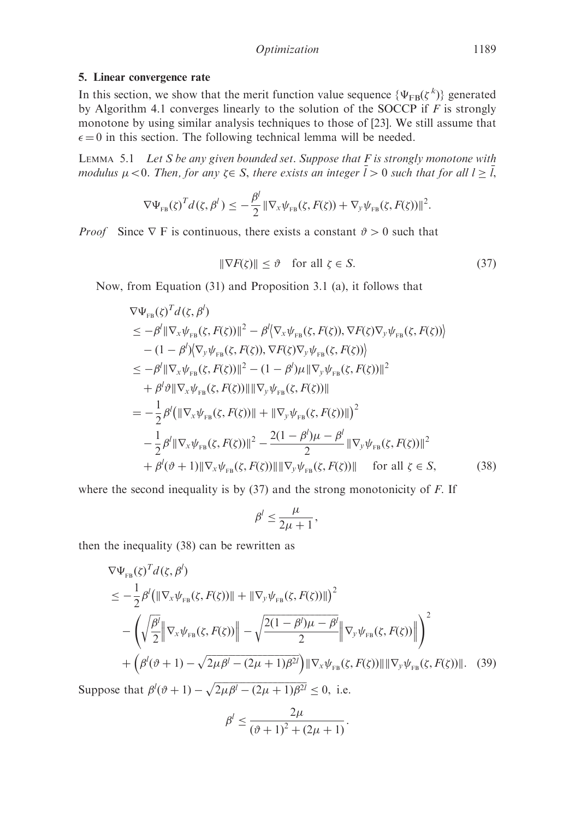## 5. Linear convergence rate

In this section, we show that the merit function value sequence  $\{\Psi_{FB}(\zeta^k)\}\$  generated by Algorithm 4.1 converges linearly to the solution of the SOCCP if  $F$  is strongly monotone by using similar analysis techniques to those of [23]. We still assume that  $\epsilon = 0$  in this section. The following technical lemma will be needed.

LEMMA 5.1 Let S be any given bounded set. Suppose that  $F$  is strongly monotone with modulus  $\mu < 0$ . Then, for any  $\zeta \in S$ , there exists an integer  $\overline{l} > 0$  such that for all  $l \geq \overline{l}$ ,

$$
\nabla \Psi_{FB}(\zeta)^T d(\zeta, \beta^l) \leq -\frac{\beta^l}{2} \|\nabla_x \psi_{FB}(\zeta, F(\zeta)) + \nabla_y \psi_{FB}(\zeta, F(\zeta))\|^2
$$

*Proof* Since  $\nabla$  F is continuous, there exists a constant  $\vartheta > 0$  such that

$$
\|\nabla F(\zeta)\| \le \vartheta \quad \text{for all } \zeta \in S. \tag{37}
$$

:

Now, from Equation (31) and Proposition 3.1 (a), it follows that

$$
\nabla \Psi_{FB}(\zeta)^T d(\zeta, \beta')
$$
  
\n
$$
\leq -\beta^l \|\nabla_x \psi_{FB}(\zeta, F(\zeta))\|^2 - \beta^l \langle \nabla_x \psi_{FB}(\zeta, F(\zeta)), \nabla F(\zeta) \nabla_y \psi_{FB}(\zeta, F(\zeta)) \rangle
$$
  
\n
$$
- (1 - \beta^l) \langle \nabla_y \psi_{FB}(\zeta, F(\zeta)), \nabla F(\zeta) \nabla_y \psi_{FB}(\zeta, F(\zeta)) \rangle
$$
  
\n
$$
\leq -\beta^l \|\nabla_x \psi_{FB}(\zeta, F(\zeta))\|^2 - (1 - \beta^l) \mu \|\nabla_y \psi_{FB}(\zeta, F(\zeta))\|^2
$$
  
\n
$$
+ \beta^l \vartheta \|\nabla_x \psi_{FB}(\zeta, F(\zeta))\| \|\nabla_y \psi_{FB}(\zeta, F(\zeta))\|
$$
  
\n
$$
= -\frac{1}{2} \beta^l \left( \|\nabla_x \psi_{FB}(\zeta, F(\zeta))\| + \|\nabla_y \psi_{FB}(\zeta, F(\zeta))\| \right)^2
$$
  
\n
$$
- \frac{1}{2} \beta^l \|\nabla_x \psi_{FB}(\zeta, F(\zeta))\|^2 - \frac{2(1 - \beta^l)\mu - \beta^l}{2} \|\nabla_y \psi_{FB}(\zeta, F(\zeta))\|^2
$$
  
\n
$$
+ \beta^l (\vartheta + 1) \|\nabla_x \psi_{FB}(\zeta, F(\zeta))\| \|\nabla_y \psi_{FB}(\zeta, F(\zeta))\| \quad \text{for all } \zeta \in S,
$$
 (38)

where the second inequality is by  $(37)$  and the strong monotonicity of F. If

$$
\beta^l \leq \frac{\mu}{2\mu+1},
$$

then the inequality (38) can be rewritten as

$$
\nabla \Psi_{\text{FB}}(\zeta)^{T} d(\zeta, \beta^{l})
$$
\n
$$
\leq -\frac{1}{2} \beta^{l} (\|\nabla_{x} \psi_{\text{FB}}(\zeta, F(\zeta))\| + \|\nabla_{y} \psi_{\text{FB}}(\zeta, F(\zeta))\|)^{2}
$$
\n
$$
- \left( \sqrt{\frac{\beta^{l}}{2}} \|\nabla_{x} \psi_{\text{FB}}(\zeta, F(\zeta))\| - \sqrt{\frac{2(1 - \beta^{l})\mu - \beta^{l}}{2}} \|\nabla_{y} \psi_{\text{FB}}(\zeta, F(\zeta))\| \right)^{2}
$$
\n
$$
+ \left( \beta^{l}(\vartheta + 1) - \sqrt{2\mu \beta^{l} - (2\mu + 1)\beta^{2l}} \right) \|\nabla_{x} \psi_{\text{FB}}(\zeta, F(\zeta))\| \|\nabla_{y} \psi_{\text{FB}}(\zeta, F(\zeta))\|.
$$
\n(39)

Suppose that  $\beta^l(\vartheta + 1) - \sqrt{2\mu\beta^l - (2\mu + 1)\beta^{2l}} \leq 0$ , i.e.

$$
\beta^l \leq \frac{2\mu}{(\vartheta + 1)^2 + (2\mu + 1)}.
$$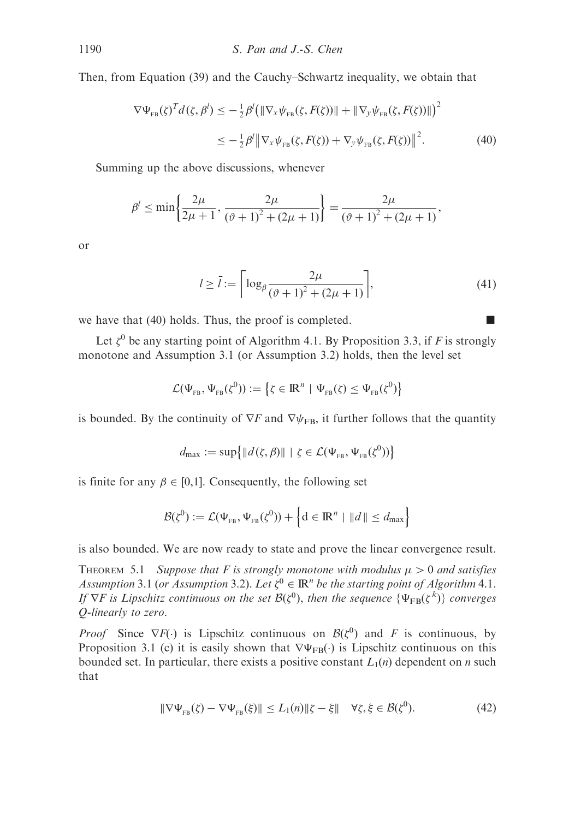Then, from Equation (39) and the Cauchy–Schwartz inequality, we obtain that

$$
\nabla \Psi_{\text{FB}}(\zeta)^T d(\zeta, \beta^l) \leq -\frac{1}{2} \beta^l \big( \| \nabla_x \psi_{\text{FB}}(\zeta, F(\zeta)) \| + \| \nabla_y \psi_{\text{FB}}(\zeta, F(\zeta)) \| \big)^2
$$
  

$$
\leq -\frac{1}{2} \beta^l \| \nabla_x \psi_{\text{FB}}(\zeta, F(\zeta)) + \nabla_y \psi_{\text{FB}}(\zeta, F(\zeta)) \|^2.
$$
 (40)

Summing up the above discussions, whenever

$$
\beta' \le \min\left\{\frac{2\mu}{2\mu + 1}, \frac{2\mu}{(\vartheta + 1)^2 + (2\mu + 1)}\right\} = \frac{2\mu}{(\vartheta + 1)^2 + (2\mu + 1)},
$$

or

$$
l \ge \bar{l} := \left\lceil \log_{\beta} \frac{2\mu}{(\vartheta + 1)^2 + (2\mu + 1)} \right\rceil,
$$
\n(41)

we have that (40) holds. Thus, the proof is completed.  $\blacksquare$ 

Let  $\zeta^0$  be any starting point of Algorithm 4.1. By Proposition 3.3, if F is strongly monotone and Assumption 3.1 (or Assumption 3.2) holds, then the level set

$$
\mathcal{L}(\Psi_{_{FB}},\Psi_{_{FB}}(\zeta^0)):=\big\{\zeta\in{\rm I\!R}^n\,\,|\,\,\Psi_{_{FB}}(\zeta)\leq\Psi_{_{FB}}(\zeta^0)\big\}
$$

is bounded. By the continuity of  $\nabla F$  and  $\nabla \psi_{FB}$ , it further follows that the quantity

$$
d_{\max} := \sup \{ ||d(\zeta, \beta)|| \mid \zeta \in \mathcal{L}(\Psi_{\text{FB}}, \Psi_{\text{FB}}(\zeta^0)) \}
$$

is finite for any  $\beta \in [0,1]$ . Consequently, the following set

$$
\mathcal{B}(\zeta^{0}) := \mathcal{L}(\Psi_{\text{FB}}, \Psi_{\text{FB}}(\zeta^{0})) + \left\{ d \in \mathbb{R}^{n} \mid ||d|| \leq d_{\text{max}} \right\}
$$

is also bounded. We are now ready to state and prove the linear convergence result.

THEOREM 5.1 Suppose that F is strongly monotone with modulus  $\mu > 0$  and satisfies Assumption 3.1 (or Assumption 3.2). Let  $\zeta^0 \in \mathbb{R}^n$  be the starting point of Algorithm 4.1. If  $\nabla F$  is Lipschitz continuous on the set  $\mathcal{B}(\zeta^0)$ , then the sequence  $\{\Psi_{FB}(\zeta^k)\}\)$  converges Q-linearly to zero.

*Proof* Since  $\nabla F(\cdot)$  is Lipschitz continuous on  $\mathcal{B}(\zeta^0)$  and F is continuous, by Proposition 3.1 (c) it is easily shown that  $\nabla \Psi_{FB}(\cdot)$  is Lipschitz continuous on this bounded set. In particular, there exists a positive constant  $L_1(n)$  dependent on *n* such that

$$
\|\nabla\Psi_{FB}(\zeta) - \nabla\Psi_{FB}(\xi)\| \le L_1(n)\|\zeta - \xi\| \quad \forall \zeta, \xi \in \mathcal{B}(\zeta^0). \tag{42}
$$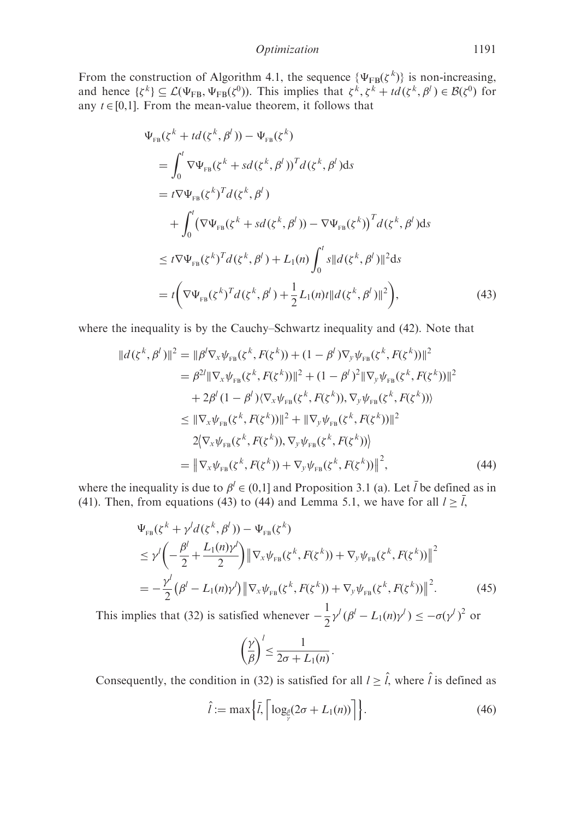Optimization 1191

From the construction of Algorithm 4.1, the sequence  $\{\Psi_{FB}(\zeta^k)\}\$ is non-increasing, and hence  $\{\zeta^k\} \subseteq \mathcal{L}(\Psi_{FB}, \Psi_{FB}(\zeta^0))$ . This implies that  $\zeta^k, \zeta^k + td(\zeta^k, \beta^l) \in \mathcal{B}(\zeta^0)$  for any  $t \in [0,1]$ . From the mean-value theorem, it follows that

$$
\Psi_{FB}(\zeta^{k} + td(\zeta^{k}, \beta^{l})) - \Psi_{FB}(\zeta^{k})
$$
\n
$$
= \int_{0}^{l} \nabla \Psi_{FB}(\zeta^{k} + sd(\zeta^{k}, \beta^{l}))^{T} d(\zeta^{k}, \beta^{l}) ds
$$
\n
$$
= t \nabla \Psi_{FB}(\zeta^{k})^{T} d(\zeta^{k}, \beta^{l})
$$
\n
$$
+ \int_{0}^{l} (\nabla \Psi_{FB}(\zeta^{k} + sd(\zeta^{k}, \beta^{l})) - \nabla \Psi_{FB}(\zeta^{k}))^{T} d(\zeta^{k}, \beta^{l}) ds
$$
\n
$$
\leq t \nabla \Psi_{FB}(\zeta^{k})^{T} d(\zeta^{k}, \beta^{l}) + L_{1}(n) \int_{0}^{l} s ||d(\zeta^{k}, \beta^{l})||^{2} ds
$$
\n
$$
= t \Big( \nabla \Psi_{FB}(\zeta^{k})^{T} d(\zeta^{k}, \beta^{l}) + \frac{1}{2} L_{1}(n) t ||d(\zeta^{k}, \beta^{l})||^{2} \Big), \tag{43}
$$

where the inequality is by the Cauchy–Schwartz inequality and (42). Note that

$$
||d(\zeta^{k}, \beta^{l})||^{2} = ||\beta^{l}\nabla_{x}\psi_{FB}(\zeta^{k}, F(\zeta^{k})) + (1 - \beta^{l})\nabla_{y}\psi_{FB}(\zeta^{k}, F(\zeta^{k}))||^{2}
$$
  
\n
$$
= \beta^{2l}||\nabla_{x}\psi_{FB}(\zeta^{k}, F(\zeta^{k}))||^{2} + (1 - \beta^{l})^{2}||\nabla_{y}\psi_{FB}(\zeta^{k}, F(\zeta^{k}))||^{2}
$$
  
\n
$$
+ 2\beta^{l}(1 - \beta^{l})\langle\nabla_{x}\psi_{FB}(\zeta^{k}, F(\zeta^{k})), \nabla_{y}\psi_{FB}(\zeta^{k}, F(\zeta^{k}))\rangle
$$
  
\n
$$
\leq ||\nabla_{x}\psi_{FB}(\zeta^{k}, F(\zeta^{k}))||^{2} + ||\nabla_{y}\psi_{FB}(\zeta^{k}, F(\zeta^{k}))||^{2}
$$
  
\n
$$
2\langle\nabla_{x}\psi_{FB}(\zeta^{k}, F(\zeta^{k})), \nabla_{y}\psi_{FB}(\zeta^{k}, F(\zeta^{k}))\rangle
$$
  
\n
$$
= ||\nabla_{x}\psi_{FB}(\zeta^{k}, F(\zeta^{k})) + \nabla_{y}\psi_{FB}(\zeta^{k}, F(\zeta^{k}))||^{2}, \tag{44}
$$

where the inequality is due to  $\beta^l \in (0,1]$  and Proposition 3.1 (a). Let  $\overline{l}$  be defined as in (41). Then, from equations (43) to (44) and Lemma 5.1, we have for all  $l \geq \overline{l}$ ,

$$
\Psi_{FB}(\zeta^{k} + \gamma^{l} d(\zeta^{k}, \beta^{l})) - \Psi_{FB}(\zeta^{k})
$$
\n
$$
\leq \gamma^{l} \left( -\frac{\beta^{l}}{2} + \frac{L_{1}(n)\gamma^{l}}{2} \right) \left\| \nabla_{x} \psi_{FB}(\zeta^{k}, F(\zeta^{k})) + \nabla_{y} \psi_{FB}(\zeta^{k}, F(\zeta^{k})) \right\|^{2}
$$
\n
$$
= -\frac{\gamma^{l}}{2} (\beta^{l} - L_{1}(n)\gamma^{l}) \left\| \nabla_{x} \psi_{FB}(\zeta^{k}, F(\zeta^{k})) + \nabla_{y} \psi_{FB}(\zeta^{k}, F(\zeta^{k})) \right\|^{2}.
$$
\n(45)

This implies that (32) is satisfied whenever  $-\frac{1}{2}\gamma^{l}(\beta^{l}-L_{1}(n)\gamma^{l}) \leq -\sigma(\gamma^{l})^{2}$  or

$$
\left(\frac{\gamma}{\beta}\right)^l \leq \frac{1}{2\sigma + L_1(n)}.
$$

Consequently, the condition in (32) is satisfied for all  $l \geq \hat{l}$ , where  $\hat{l}$  is defined as

$$
\hat{l} := \max\left\{\bar{l}, \left\lceil \log_{\frac{\beta}{\gamma}}(2\sigma + L_1(n)) \right\rceil \right\}.
$$
\n(46)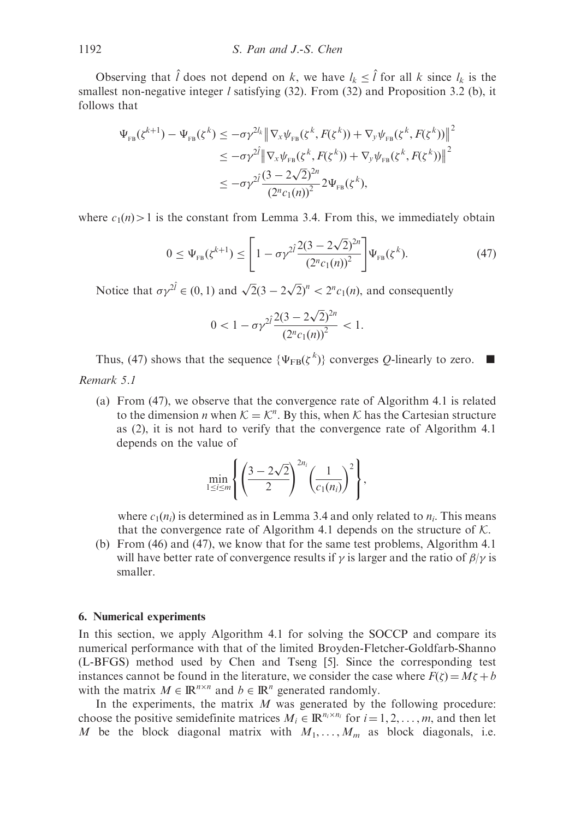Observing that  $\hat{l}$  does not depend on k, we have  $l_k \leq \hat{l}$  for all k since  $l_k$  is the smallest non-negative integer *l* satisfying  $(32)$ . From  $(32)$  and Proposition 3.2 (b), it follows that

$$
\Psi_{FB}(\zeta^{k+1}) - \Psi_{FB}(\zeta^{k}) \leq -\sigma \gamma^{2l_{k}} \left\| \nabla_{x} \psi_{FB}(\zeta^{k}, F(\zeta^{k})) + \nabla_{y} \psi_{FB}(\zeta^{k}, F(\zeta^{k})) \right\|^{2}
$$
\n
$$
\leq -\sigma \gamma^{2l} \left\| \nabla_{x} \psi_{FB}(\zeta^{k}, F(\zeta^{k})) + \nabla_{y} \psi_{FB}(\zeta^{k}, F(\zeta^{k})) \right\|^{2}
$$
\n
$$
\leq -\sigma \gamma^{2l} \frac{(3 - 2\sqrt{2})^{2n}}{(2^{n}c_{1}(n))^{2}} 2\Psi_{FB}(\zeta^{k}),
$$

where  $c_1(n)$  is the constant from Lemma 3.4. From this, we immediately obtain

$$
0 \leq \Psi_{\text{FB}}(\zeta^{k+1}) \leq \left[1 - \sigma \gamma^{2i} \frac{2(3 - 2\sqrt{2})^{2n}}{(2^n c_1(n))^2}\right] \Psi_{\text{FB}}(\zeta^k). \tag{47}
$$

Notice that  $\sigma \gamma^{2\hat{i}} \in (0, 1)$  and  $\sqrt{2}(3 - 2\sqrt{2})^n < 2^n c_1(n)$ , and consequently

$$
0 < 1 - \sigma \gamma^{2\hat{i}} \frac{2(3 - 2\sqrt{2})^{2n}}{\left(2^n c_1(n)\right)^2} < 1.
$$

Thus, (47) shows that the sequence  $\{\Psi_{FB}(\zeta^k)\}\)$  converges Q-linearly to zero.

# Remark 5.1

(a) From (47), we observe that the convergence rate of Algorithm 4.1 is related to the dimension *n* when  $K = K^n$ . By this, when K has the Cartesian structure as (2), it is not hard to verify that the convergence rate of Algorithm 4.1 depends on the value of

$$
\min_{1 \le i \le m} \left\{ \left( \frac{3 - 2\sqrt{2}}{2} \right)^{2n_i} \left( \frac{1}{c_1(n_i)} \right)^2 \right\},\,
$$

where  $c_1(n_i)$  is determined as in Lemma 3.4 and only related to  $n_i$ . This means that the convergence rate of Algorithm 4.1 depends on the structure of  $K$ .

(b) From (46) and (47), we know that for the same test problems, Algorithm 4.1 will have better rate of convergence results if  $\gamma$  is larger and the ratio of  $\beta/\gamma$  is smaller.

### 6. Numerical experiments

In this section, we apply Algorithm 4.1 for solving the SOCCP and compare its numerical performance with that of the limited Broyden-Fletcher-Goldfarb-Shanno (L-BFGS) method used by Chen and Tseng [5]. Since the corresponding test instances cannot be found in the literature, we consider the case where  $F(\zeta) = M\zeta + b$ with the matrix  $M \in \mathbb{R}^{n \times n}$  and  $b \in \mathbb{R}^n$  generated randomly.

In the experiments, the matrix  $M$  was generated by the following procedure: choose the positive semidefinite matrices  $M_i \in \mathbb{R}^{n_i \times n_i}$  for  $i = 1, 2, ..., m$ , and then let M be the block diagonal matrix with  $M_1, \ldots, M_m$  as block diagonals, i.e.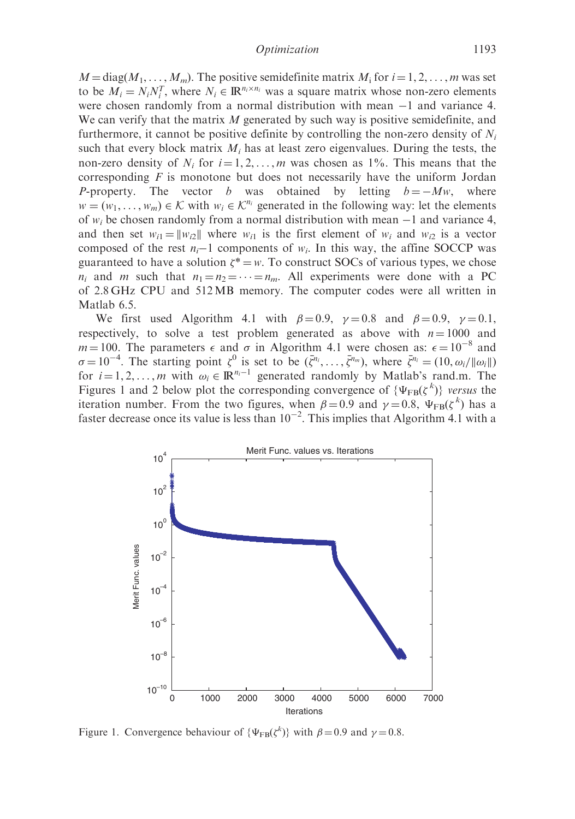$M = \text{diag}(M_1, \ldots, M_m)$ . The positive semidefinite matrix  $M_i$  for  $i = 1, 2, \ldots, m$  was set to be  $M_i = N_i N_i^T$ , where  $N_i \in \mathbb{R}^{n_i \times n_i}$  was a square matrix whose non-zero elements were chosen randomly from a normal distribution with mean  $-1$  and variance 4. We can verify that the matrix  $M$  generated by such way is positive semidefinite, and furthermore, it cannot be positive definite by controlling the non-zero density of  $N_i$ such that every block matrix  $M_i$  has at least zero eigenvalues. During the tests, the non-zero density of  $N_i$  for  $i = 1, 2, ..., m$  was chosen as 1%. This means that the corresponding  $F$  is monotone but does not necessarily have the uniform Jordan P-property. The vector b was obtained by letting  $b = -Mw$ , where  $w = (w_1, \ldots, w_m) \in \mathcal{K}$  with  $w_i \in \mathcal{K}^{n_i}$  generated in the following way: let the elements of  $w_i$  be chosen randomly from a normal distribution with mean  $-1$  and variance 4, and then set  $w_{i1} = ||w_{i2}||$  where  $w_{i1}$  is the first element of  $w_i$  and  $w_{i2}$  is a vector composed of the rest  $n_i-1$  components of  $w_i$ . In this way, the affine SOCCP was guaranteed to have a solution  $\zeta^* = w$ . To construct SOCs of various types, we chose  $n_i$  and m such that  $n_1 = n_2 = \cdots = n_m$ . All experiments were done with a PC of 2.8 GHz CPU and 512MB memory. The computer codes were all written in Matlab 6.5.

We first used Algorithm 4.1 with  $\beta = 0.9$ ,  $\gamma = 0.8$  and  $\beta = 0.9$ ,  $\gamma = 0.1$ , respectively, to solve a test problem generated as above with  $n = 1000$  and  $m=100$ . The parameters  $\epsilon$  and  $\sigma$  in Algorithm 4.1 were chosen as:  $\epsilon = 10^{-8}$  and  $\sigma = 10^{-4}$ . The starting point  $\zeta^0$  is set to be  $(\bar{\zeta}^{n_i}, \ldots, \bar{\zeta}^{n_m})$ , where  $\bar{\zeta}^{n_i} = (10, \omega_i/||\omega_i||)$ for  $i = 1, 2, ..., m$  with  $\omega_i \in \mathbb{R}^{n_i-1}$  generated randomly by Matlab's rand.m. The Figures 1 and 2 below plot the corresponding convergence of  $\{\Psi_{FB}(\zeta^k)\}\$  versus the iteration number. From the two figures, when  $\beta = 0.9$  and  $\gamma = 0.8$ ,  $\Psi_{FB}(\zeta^k)$  has a faster decrease once its value is less than  $10^{-2}$ . This implies that Algorithm 4.1 with a



Figure 1. Convergence behaviour of  $\{\Psi_{FB}(\zeta^k)\}\$  with  $\beta = 0.9$  and  $\gamma = 0.8$ .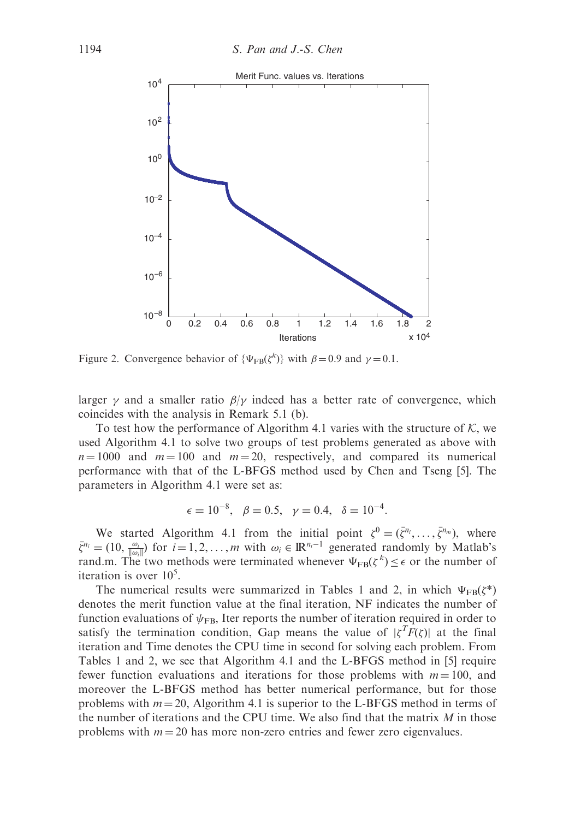

Figure 2. Convergence behavior of  $\{\Psi_{FB}(\zeta^k)\}\$  with  $\beta = 0.9$  and  $\gamma = 0.1$ .

larger  $\gamma$  and a smaller ratio  $\beta/\gamma$  indeed has a better rate of convergence, which coincides with the analysis in Remark 5.1 (b).

To test how the performance of Algorithm 4.1 varies with the structure of  $K$ , we used Algorithm 4.1 to solve two groups of test problems generated as above with  $n = 1000$  and  $m = 100$  and  $m = 20$ , respectively, and compared its numerical performance with that of the L-BFGS method used by Chen and Tseng [5]. The parameters in Algorithm 4.1 were set as:

$$
\epsilon = 10^{-8}, \ \beta = 0.5, \ \gamma = 0.4, \ \delta = 10^{-4}.
$$

We started Algorithm 4.1 from the initial point  $\zeta^0 = (\bar{\zeta}^{n_i}, \dots, \bar{\zeta}^{n_m})$ , where  $\bar{\zeta}^{n_i} = (10, \frac{\omega_i}{\|\omega_i\|})$  for  $i = 1, 2, ..., m$  with  $\omega_i \in \mathbb{R}^{n_i-1}$  generated randomly by Matlab's rand.m. The two methods were terminated whenever  $\Psi_{FB}(\zeta^k) \leq \epsilon$  or the number of iteration is over  $10^5$ .

The numerical results were summarized in Tables 1 and 2, in which  $\Psi_{FB}(\zeta^*)$ denotes the merit function value at the final iteration, NF indicates the number of function evaluations of  $\psi_{\text{FB}}$ , Iter reports the number of iteration required in order to satisfy the termination condition, Gap means the value of  $|\zeta^T \overline{F}(\zeta)|$  at the final iteration and Time denotes the CPU time in second for solving each problem. From Tables 1 and 2, we see that Algorithm 4.1 and the L-BFGS method in [5] require fewer function evaluations and iterations for those problems with  $m = 100$ , and moreover the L-BFGS method has better numerical performance, but for those problems with  $m = 20$ , Algorithm 4.1 is superior to the L-BFGS method in terms of the number of iterations and the CPU time. We also find that the matrix  $M$  in those problems with  $m = 20$  has more non-zero entries and fewer zero eigenvalues.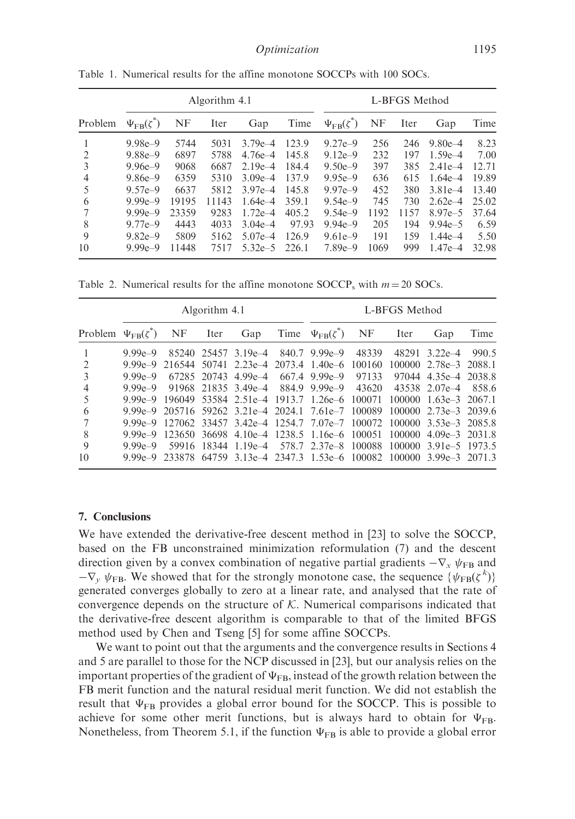|                |                           | Algorithm 4.1 |       |             |       |                             | L-BFGS Method |      |             |       |  |
|----------------|---------------------------|---------------|-------|-------------|-------|-----------------------------|---------------|------|-------------|-------|--|
| Problem        | $\Psi_{\text{FB}}(\zeta)$ | <b>NF</b>     | Iter  | Gap         | Time  | $\Psi_{\text{FB}}(\zeta^*)$ | <b>NF</b>     | Iter | Gap         | Time  |  |
|                | $9.98e - 9$               | 5744          | 5031  | $3.79e - 4$ | 123.9 | $9.27e - 9$                 | 256           | 246  | $9.80e - 4$ | 8.23  |  |
| $\overline{2}$ | $9.88e - 9$               | 6897          | 5788  | $4.76e - 4$ | 145.8 | $9.12e - 9$                 | 232           | 197  | $1.59e - 4$ | 7.00  |  |
| 3              | $9.96e - 9$               | 9068          | 6687  | $2.19e - 4$ | 184.4 | $9.50e-9$                   | 397           | 385  | $2.41e-4$   | 12.71 |  |
| 4              | $9.86e - 9$               | 6359          | 5310  | $3.09e - 4$ | 137.9 | $9.95e-9$                   | 636           | 615  | $1.64e - 4$ | 19.89 |  |
| 5              | $9.57e - 9$               | 6637          | 5812  | $3.97e - 4$ | 145.8 | $9.97e - 9$                 | 452           | 380  | $3.81e-4$   | 13.40 |  |
| 6              | $9.99e - 9$               | 19195         | 11143 | $1.64e - 4$ | 359.1 | $9.54e-9$                   | 745           | 730  | $2.62e-4$   | 25.02 |  |
| 7              | $9.99e - 9$               | 23359         | 9283  | $1.72e - 4$ | 405.2 | $9.54e-9$                   | 1192          | 1157 | $8.97e - 5$ | 37.64 |  |
| 8              | $9.77e - 9$               | 4443          | 4033  | $3.04e-4$   | 97.93 | $9.94e-9$                   | 205           | 194  | $9.94e - 5$ | 6.59  |  |
| 9              | $9.82e - 9$               | 5809          | 5162  | $5.07e - 4$ | 126.9 | $9.61e-9$                   | 191           | 159  | $1.44e - 4$ | 5.50  |  |
| 10             | $9.99e - 9$               | 11448         | 7517  | $5.32e - 5$ | 226.1 | $7.89e - 9$                 | 1069          | 999  | $1.47e - 4$ | 32.98 |  |

Table 1. Numerical results for the affine monotone SOCCPs with 100 SOCs.

Table 2. Numerical results for the affine monotone  $\text{SOCCP}_\text{s}$  with  $m = 20$  SOCs.

|                            | Algorithm 4.1 |       |             |                                 |  | L-BFGS Method                                                            |       |       |                                     |       |
|----------------------------|---------------|-------|-------------|---------------------------------|--|--------------------------------------------------------------------------|-------|-------|-------------------------------------|-------|
| Problem $\Psi_{FB}(\zeta)$ |               | NF    | Iter        | Gap                             |  | Time $\Psi_{FB}(\zeta^*)$                                                | NF    | Iter  | Gap                                 | Time  |
|                            | $9.99e - 9$   |       |             | 85240 25457 3.19e-4             |  | $840.7$ 9.99e-9                                                          | 48339 | 48291 | $3.22e-4$                           | 990.5 |
| 2                          | $9.99e - 9$   |       |             |                                 |  | 216544 50741 2.23e-4 2073.4 1.40e-6 100160                               |       |       | 100000 2.78e - 3 2088.1             |       |
| 3                          | $9.99e - 9$   |       | 67285 20743 | $4.99e - 4$                     |  | $667.4$ 9.99e-9                                                          | 97133 |       | 97044 4.35e 4 2038.8                |       |
| 4                          | $9.99e - 9$   |       |             | 91968 21835 3.49e <sup>-4</sup> |  | 884.9 9.99e-9                                                            | 43620 |       | 43538 2.07e-4                       | 858.6 |
| 5                          | $9.99e - 9$   |       |             |                                 |  | 196049 53584 2.51e 4 1913.7 1.26e 6 100071                               |       |       | $100000 \quad 1.63e-3 \quad 2067.1$ |       |
| 6                          | $9.99e - 9$   |       |             |                                 |  | 205716 59262 3.21e-4 2024.1 7.61e-7 100089                               |       |       | $100000$ $2.73e-3$ $2039.6$         |       |
|                            |               |       |             |                                 |  | 9.99e-9 127062 33457 3.42e-4 1254.7 7.07e-7 100072 100000 3.53e-3 2085.8 |       |       |                                     |       |
| 8                          | $9.99e - 9$   |       |             |                                 |  | 123650 36698 4.10e-4 1238.5 1.16e-6 100051                               |       |       | $100000 \quad 4.09e-3 \quad 2031.8$ |       |
| 9                          | $9.99e - 9$   | 59916 | 18344       |                                 |  | $1.19e-4$ 578.7 2.37e-8 100088                                           |       |       | 100000 3.91e - 5 1973.5             |       |
| 10                         |               |       |             |                                 |  | 9.99e-9 233878 64759 3.13e-4 2347.3 1.53e-6 100082 100000 3.99e-3 2071.3 |       |       |                                     |       |

# 7. Conclusions

We have extended the derivative-free descent method in [23] to solve the SOCCP, based on the FB unconstrained minimization reformulation (7) and the descent direction given by a convex combination of negative partial gradients  $-\nabla_x \psi_{FB}$  and  $-\nabla_y \psi_{FB}$ . We showed that for the strongly monotone case, the sequence  $\{\psi_{FB}(\zeta^k)\}$ generated converges globally to zero at a linear rate, and analysed that the rate of convergence depends on the structure of  $K$ . Numerical comparisons indicated that the derivative-free descent algorithm is comparable to that of the limited BFGS method used by Chen and Tseng [5] for some affine SOCCPs.

We want to point out that the arguments and the convergence results in Sections 4 and 5 are parallel to those for the NCP discussed in [23], but our analysis relies on the important properties of the gradient of  $\Psi_{FB}$ , instead of the growth relation between the FB merit function and the natural residual merit function. We did not establish the result that  $\Psi_{FB}$  provides a global error bound for the SOCCP. This is possible to achieve for some other merit functions, but is always hard to obtain for  $\Psi_{FB}$ . Nonetheless, from Theorem 5.1, if the function  $\Psi_{FB}$  is able to provide a global error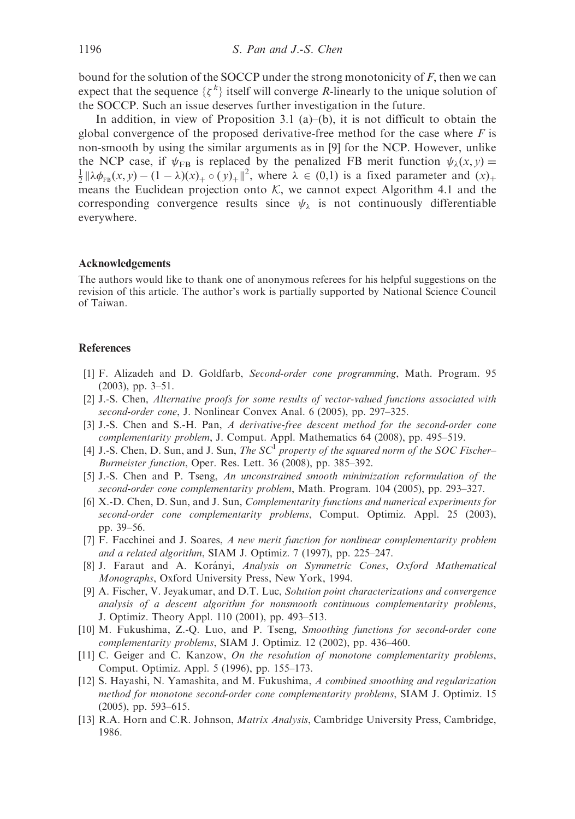bound for the solution of the SOCCP under the strong monotonicity of  $F$ , then we can expect that the sequence  $\{\zeta^k\}$  itself will converge R-linearly to the unique solution of the SOCCP. Such an issue deserves further investigation in the future.

In addition, in view of Proposition 3.1 (a)–(b), it is not difficult to obtain the global convergence of the proposed derivative-free method for the case where  $F$  is non-smooth by using the similar arguments as in [9] for the NCP. However, unlike the NCP case, if  $\psi_{FR}$  is replaced by the penalized FB merit function  $\psi_{\lambda}(x, y) =$  $\frac{1}{2} \|\lambda \phi_{FB}(x, y) - (1 - \lambda)(x)_{+} \circ (y)_{+} \|^{2}$ , where  $\lambda \in (0, 1)$  is a fixed parameter and  $(x)_{+}$ means the Euclidean projection onto  $K$ , we cannot expect Algorithm 4.1 and the corresponding convergence results since  $\psi_{\lambda}$  is not continuously differentiable everywhere.

### Acknowledgements

The authors would like to thank one of anonymous referees for his helpful suggestions on the revision of this article. The author's work is partially supported by National Science Council of Taiwan.

### **References**

- [1] F. Alizadeh and D. Goldfarb, Second-order cone programming, Math. Program. 95 (2003), pp. 3–51.
- [2] J.-S. Chen, Alternative proofs for some results of vector-valued functions associated with second-order cone, J. Nonlinear Convex Anal. 6 (2005), pp. 297–325.
- [3] J.-S. Chen and S.-H. Pan, A derivative-free descent method for the second-order cone complementarity problem, J. Comput. Appl. Mathematics 64 (2008), pp. 495–519.
- [4] J.-S. Chen, D. Sun, and J. Sun, The  $SC<sup>1</sup>$  property of the squared norm of the SOC Fischer– Burmeister function, Oper. Res. Lett. 36 (2008), pp. 385–392.
- [5] J.-S. Chen and P. Tseng, An unconstrained smooth minimization reformulation of the second-order cone complementarity problem, Math. Program. 104 (2005), pp. 293–327.
- [6] X.-D. Chen, D. Sun, and J. Sun, Complementarity functions and numerical experiments for second-order cone complementarity problems, Comput. Optimiz. Appl. 25 (2003), pp. 39–56.
- [7] F. Facchinei and J. Soares, A new merit function for nonlinear complementarity problem and a related algorithm, SIAM J. Optimiz. 7 (1997), pp. 225–247.
- [8] J. Faraut and A. Korányi, Analysis on Symmetric Cones, Oxford Mathematical Monographs, Oxford University Press, New York, 1994.
- [9] A. Fischer, V. Jeyakumar, and D.T. Luc, Solution point characterizations and convergence analysis of a descent algorithm for nonsmooth continuous complementarity problems, J. Optimiz. Theory Appl. 110 (2001), pp. 493–513.
- [10] M. Fukushima, Z.-Q. Luo, and P. Tseng, Smoothing functions for second-order cone complementarity problems, SIAM J. Optimiz. 12 (2002), pp. 436–460.
- [11] C. Geiger and C. Kanzow, *On the resolution of monotone complementarity problems*, Comput. Optimiz. Appl. 5 (1996), pp. 155–173.
- [12] S. Hayashi, N. Yamashita, and M. Fukushima, A combined smoothing and regularization method for monotone second-order cone complementarity problems, SIAM J. Optimiz. 15 (2005), pp. 593–615.
- [13] R.A. Horn and C.R. Johnson, *Matrix Analysis*, Cambridge University Press, Cambridge, 1986.